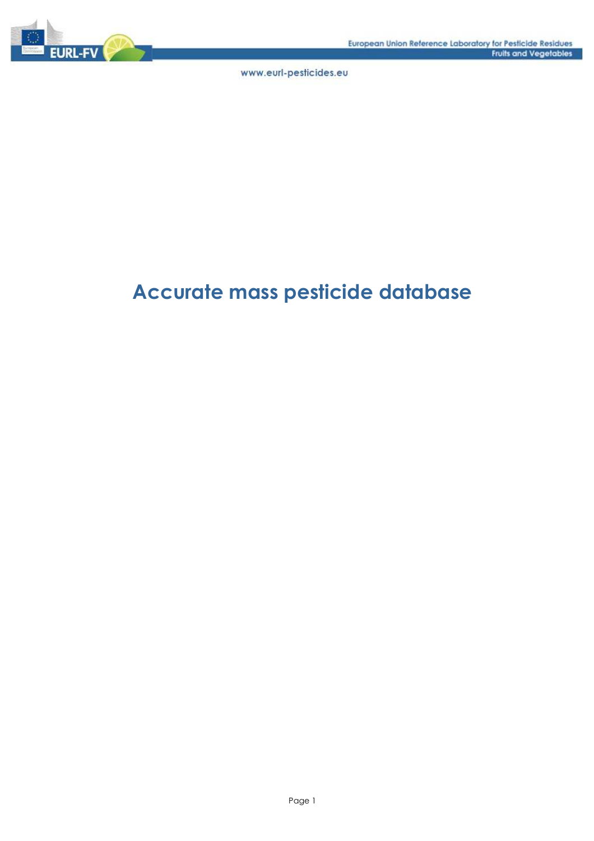

# Accurate mass pesticide database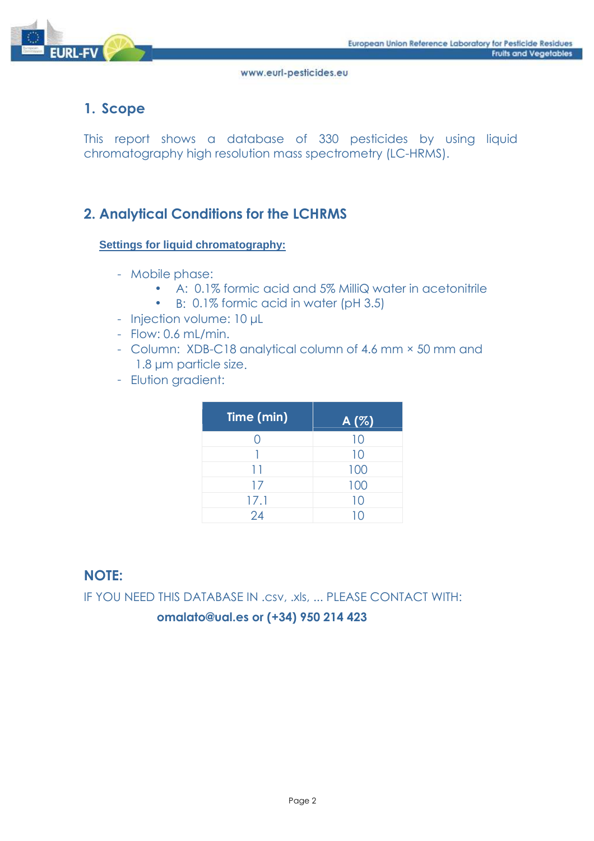

# 1. Scope

This report shows a database of 330 pesticides by using liquid chromatography high resolution mass spectrometry (LC-HRMS).

# 2. Analytical Conditions for the LCHRMS

### **Settings for liquid chromatography:**

- Mobile phase:
	- A: 0.1% formic acid and 5% MilliQ water in acetonitrile
	- B: 0.1% formic acid in water (pH 3.5)
- Injection volume: 10 µL
- Flow: 0.6 mL/min.
- Column: XDB-C18 analytical column of 4.6 mm × 50 mm and 1.8 µm particle size.
- Elution gradient:

| Time (min) | A(%) |
|------------|------|
|            | 10   |
|            | 10   |
| 11         | 100  |
| 17         | 100  |
| 17.1       | 10   |
| 24         |      |

# **NOTE:**

IF YOU NEED THIS DATABASE IN .csv, .xls, ... PLEASE CONTACT WITH:

### **omalato@ual.es or (+34) 950 214 423**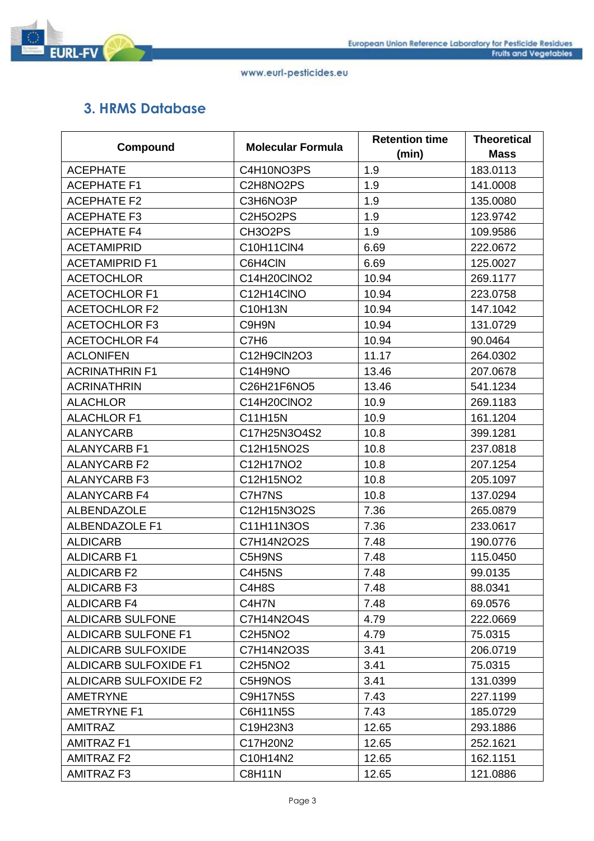

# 3. HRMS Database

| Compound                     | <b>Molecular Formula</b> | <b>Retention time</b> | <b>Theoretical</b> |
|------------------------------|--------------------------|-----------------------|--------------------|
|                              |                          | (min)                 | <b>Mass</b>        |
| <b>ACEPHATE</b>              | C4H10NO3PS               | 1.9                   | 183.0113           |
| <b>ACEPHATE F1</b>           | C2H8NO2PS                | 1.9                   | 141.0008           |
| <b>ACEPHATE F2</b>           | C3H6NO3P                 | 1.9                   | 135.0080           |
| <b>ACEPHATE F3</b>           | <b>C2H5O2PS</b>          | 1.9                   | 123.9742           |
| <b>ACEPHATE F4</b>           | CH3O2PS                  | 1.9                   | 109.9586           |
| <b>ACETAMIPRID</b>           | C10H11ClN4               | 6.69                  | 222.0672           |
| <b>ACETAMIPRID F1</b>        | C6H4CIN                  | 6.69                  | 125.0027           |
| <b>ACETOCHLOR</b>            | C14H20CINO2              | 10.94                 | 269.1177           |
| <b>ACETOCHLOR F1</b>         | C12H14CINO               | 10.94                 | 223.0758           |
| <b>ACETOCHLOR F2</b>         | C10H13N                  | 10.94                 | 147.1042           |
| <b>ACETOCHLOR F3</b>         | C9H9N                    | 10.94                 | 131.0729           |
| <b>ACETOCHLOR F4</b>         | C7H <sub>6</sub>         | 10.94                 | 90.0464            |
| <b>ACLONIFEN</b>             | C12H9ClN2O3              | 11.17                 | 264.0302           |
| <b>ACRINATHRIN F1</b>        | C14H9NO                  | 13.46                 | 207.0678           |
| <b>ACRINATHRIN</b>           | C26H21F6NO5              | 13.46                 | 541.1234           |
| <b>ALACHLOR</b>              | C14H20CINO2              | 10.9                  | 269.1183           |
| <b>ALACHLOR F1</b>           | C11H15N                  | 10.9                  | 161.1204           |
| <b>ALANYCARB</b>             | C17H25N3O4S2             | 10.8                  | 399.1281           |
| <b>ALANYCARB F1</b>          | C12H15NO2S               | 10.8                  | 237.0818           |
| <b>ALANYCARB F2</b>          | C12H17NO2                | 10.8                  | 207.1254           |
| <b>ALANYCARB F3</b>          | C12H15NO2                | 10.8                  | 205.1097           |
| <b>ALANYCARB F4</b>          | C7H7NS                   | 10.8                  | 137.0294           |
| <b>ALBENDAZOLE</b>           | C12H15N3O2S              | 7.36                  | 265.0879           |
| <b>ALBENDAZOLE F1</b>        | C11H11N3OS               | 7.36                  | 233.0617           |
| <b>ALDICARB</b>              | C7H14N2O2S               | 7.48                  | 190.0776           |
| <b>ALDICARB F1</b>           | C5H9NS                   | 7.48                  | 115.0450           |
| <b>ALDICARB F2</b>           | C4H5NS                   | 7.48                  | 99.0135            |
| <b>ALDICARB F3</b>           | C4H8S                    | 7.48                  | 88.0341            |
| <b>ALDICARB F4</b>           | C4H7N                    | 7.48                  | 69.0576            |
| <b>ALDICARB SULFONE</b>      | C7H14N2O4S               | 4.79                  | 222.0669           |
| <b>ALDICARB SULFONE F1</b>   | C2H5NO2                  | 4.79                  | 75.0315            |
| <b>ALDICARB SULFOXIDE</b>    | C7H14N2O3S               | 3.41                  | 206.0719           |
| <b>ALDICARB SULFOXIDE F1</b> | C2H5NO <sub>2</sub>      | 3.41                  | 75.0315            |
| <b>ALDICARB SULFOXIDE F2</b> | C5H9NOS                  | 3.41                  | 131.0399           |
| <b>AMETRYNE</b>              | <b>C9H17N5S</b>          | 7.43                  | 227.1199           |
| <b>AMETRYNE F1</b>           | C6H11N5S                 | 7.43                  | 185.0729           |
| <b>AMITRAZ</b>               | C19H23N3                 | 12.65                 | 293.1886           |
| <b>AMITRAZ F1</b>            | C17H20N2                 | 12.65                 | 252.1621           |
| AMITRAZ F2                   | C10H14N2                 | 12.65                 | 162.1151           |
| <b>AMITRAZ F3</b>            | <b>C8H11N</b>            | 12.65                 | 121.0886           |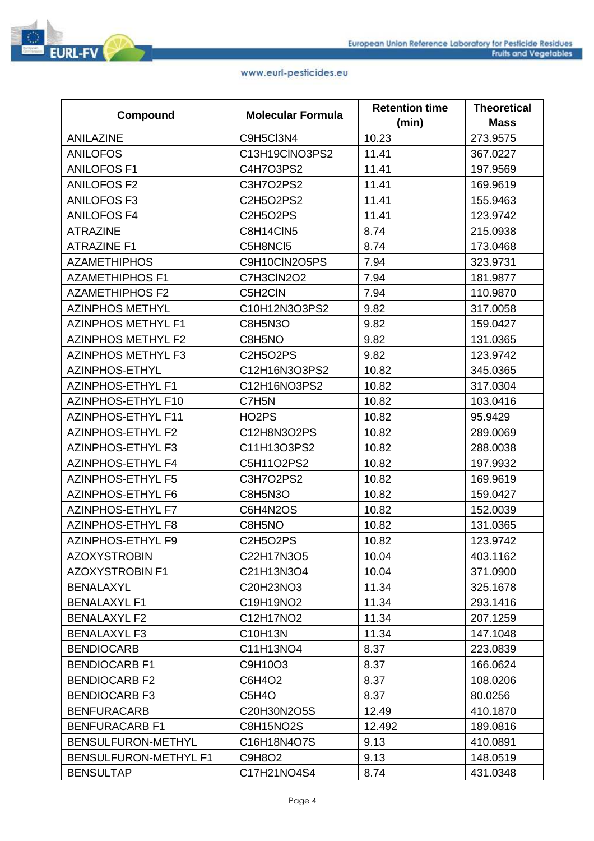|                              | <b>Molecular Formula</b> | <b>Retention time</b> | <b>Theoretical</b> |
|------------------------------|--------------------------|-----------------------|--------------------|
| Compound                     |                          | (min)                 | <b>Mass</b>        |
| <b>ANILAZINE</b>             | C9H5Cl3N4                | 10.23                 | 273.9575           |
| <b>ANILOFOS</b>              | C13H19CINO3PS2           | 11.41                 | 367.0227           |
| <b>ANILOFOS F1</b>           | C4H7O3PS2                | 11.41                 | 197.9569           |
| <b>ANILOFOS F2</b>           | C3H7O2PS2                | 11.41                 | 169.9619           |
| <b>ANILOFOS F3</b>           | C2H5O2PS2                | 11.41                 | 155.9463           |
| <b>ANILOFOS F4</b>           | <b>C2H5O2PS</b>          | 11.41                 | 123.9742           |
| <b>ATRAZINE</b>              | C8H14CIN5                | 8.74                  | 215.0938           |
| <b>ATRAZINE F1</b>           | C5H8NCI5                 | 8.74                  | 173.0468           |
| <b>AZAMETHIPHOS</b>          | C9H10CIN2O5PS            | 7.94                  | 323.9731           |
| <b>AZAMETHIPHOS F1</b>       | C7H3CIN2O2               | 7.94                  | 181.9877           |
| <b>AZAMETHIPHOS F2</b>       | C5H2CIN                  | 7.94                  | 110.9870           |
| <b>AZINPHOS METHYL</b>       | C10H12N3O3PS2            | 9.82                  | 317.0058           |
| <b>AZINPHOS METHYL F1</b>    | C8H5N3O                  | 9.82                  | 159.0427           |
| <b>AZINPHOS METHYL F2</b>    | C8H5NO                   | 9.82                  | 131.0365           |
| <b>AZINPHOS METHYL F3</b>    | <b>C2H5O2PS</b>          | 9.82                  | 123.9742           |
| <b>AZINPHOS-ETHYL</b>        | C12H16N3O3PS2            | 10.82                 | 345.0365           |
| <b>AZINPHOS-ETHYL F1</b>     | C12H16NO3PS2             | 10.82                 | 317.0304           |
| AZINPHOS-ETHYL F10           | C7H5N                    | 10.82                 | 103.0416           |
| <b>AZINPHOS-ETHYL F11</b>    | HO <sub>2</sub> PS       | 10.82                 | 95.9429            |
| <b>AZINPHOS-ETHYL F2</b>     | C12H8N3O2PS              | 10.82                 | 289.0069           |
| <b>AZINPHOS-ETHYL F3</b>     | C11H13O3PS2              | 10.82                 | 288.0038           |
| <b>AZINPHOS-ETHYL F4</b>     | C5H11O2PS2               | 10.82                 | 197.9932           |
| <b>AZINPHOS-ETHYL F5</b>     | C3H7O2PS2                | 10.82                 | 169.9619           |
| <b>AZINPHOS-ETHYL F6</b>     | <b>C8H5N3O</b>           | 10.82                 | 159.0427           |
| <b>AZINPHOS-ETHYL F7</b>     | C6H4N2OS                 | 10.82                 | 152.0039           |
| <b>AZINPHOS-ETHYL F8</b>     | C8H5NO                   | 10.82                 | 131.0365           |
| <b>AZINPHOS-ETHYL F9</b>     | C2H5O2PS                 | 10.82                 | 123.9742           |
| <b>AZOXYSTROBIN</b>          | C22H17N3O5               | 10.04                 | 403.1162           |
| <b>AZOXYSTROBIN F1</b>       | C21H13N3O4               | 10.04                 | 371.0900           |
| <b>BENALAXYL</b>             | C20H23NO3                | 11.34                 | 325.1678           |
| <b>BENALAXYL F1</b>          | C19H19NO2                | 11.34                 | 293.1416           |
| <b>BENALAXYL F2</b>          | C12H17NO2                | 11.34                 | 207.1259           |
| <b>BENALAXYL F3</b>          | C10H13N                  | 11.34                 | 147.1048           |
| <b>BENDIOCARB</b>            | C11H13NO4                | 8.37                  | 223.0839           |
| <b>BENDIOCARB F1</b>         | C9H10O3                  | 8.37                  | 166.0624           |
| <b>BENDIOCARB F2</b>         | C6H4O2                   | 8.37                  | 108.0206           |
| <b>BENDIOCARB F3</b>         | C5H4O                    | 8.37                  | 80.0256            |
| <b>BENFURACARB</b>           | C20H30N2O5S              | 12.49                 | 410.1870           |
| <b>BENFURACARB F1</b>        | <b>C8H15NO2S</b>         | 12.492                | 189.0816           |
| BENSULFURON-METHYL           | C16H18N4O7S              | 9.13                  | 410.0891           |
| <b>BENSULFURON-METHYL F1</b> | C9H8O2                   | 9.13                  | 148.0519           |
| <b>BENSULTAP</b>             | C17H21NO4S4              | 8.74                  | 431.0348           |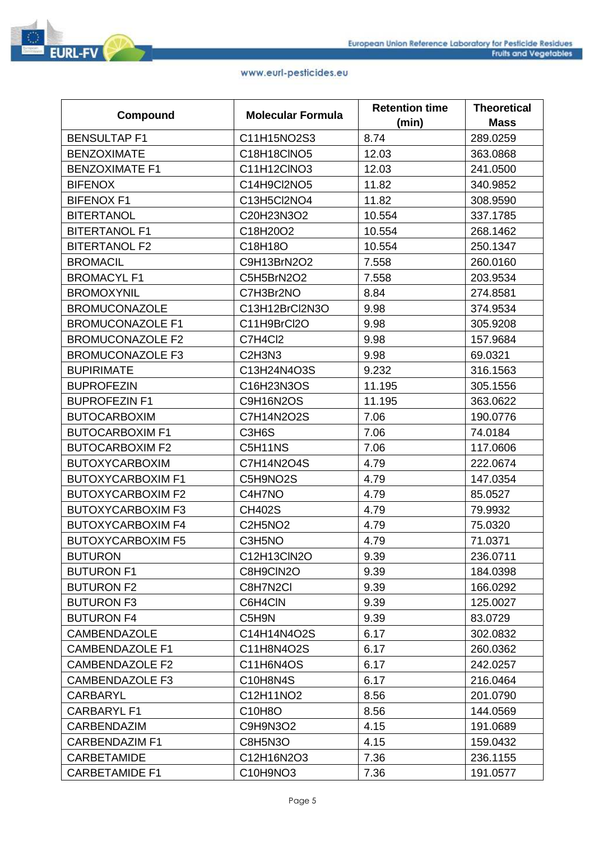

|                          | <b>Molecular Formula</b>                     | <b>Retention time</b> | <b>Theoretical</b> |
|--------------------------|----------------------------------------------|-----------------------|--------------------|
| Compound                 |                                              | (min)                 | <b>Mass</b>        |
| <b>BENSULTAP F1</b>      | C11H15NO2S3                                  | 8.74                  | 289.0259           |
| <b>BENZOXIMATE</b>       | C18H18CINO5                                  | 12.03                 | 363.0868           |
| <b>BENZOXIMATE F1</b>    | C11H12CINO3                                  | 12.03                 | 241.0500           |
| <b>BIFENOX</b>           | C14H9Cl2NO5                                  | 11.82                 | 340.9852           |
| <b>BIFENOX F1</b>        | C13H5Cl2NO4                                  | 11.82                 | 308.9590           |
| <b>BITERTANOL</b>        | C20H23N3O2                                   | 10.554                | 337.1785           |
| <b>BITERTANOL F1</b>     | C18H20O2                                     | 10.554                | 268.1462           |
| <b>BITERTANOL F2</b>     | C18H18O                                      | 10.554                | 250.1347           |
| <b>BROMACIL</b>          | C9H13BrN2O2                                  | 7.558                 | 260.0160           |
| <b>BROMACYL F1</b>       | C5H5BrN2O2                                   | 7.558                 | 203.9534           |
| <b>BROMOXYNIL</b>        | C7H3Br2NO                                    | 8.84                  | 274.8581           |
| <b>BROMUCONAZOLE</b>     | C13H12BrCl2N3O                               | 9.98                  | 374.9534           |
| <b>BROMUCONAZOLE F1</b>  | C11H9BrCl2O                                  | 9.98                  | 305.9208           |
| <b>BROMUCONAZOLE F2</b>  | C7H4Cl2                                      | 9.98                  | 157.9684           |
| <b>BROMUCONAZOLE F3</b>  | C <sub>2</sub> H <sub>3</sub> N <sub>3</sub> | 9.98                  | 69.0321            |
| <b>BUPIRIMATE</b>        | C13H24N4O3S                                  | 9.232                 | 316.1563           |
| <b>BUPROFEZIN</b>        | C16H23N3OS                                   | 11.195                | 305.1556           |
| <b>BUPROFEZIN F1</b>     | C9H16N2OS                                    | 11.195                | 363.0622           |
| <b>BUTOCARBOXIM</b>      | C7H14N2O2S                                   | 7.06                  | 190.0776           |
| <b>BUTOCARBOXIM F1</b>   | C3H6S                                        | 7.06                  | 74.0184            |
| <b>BUTOCARBOXIM F2</b>   | C5H11NS                                      | 7.06                  | 117.0606           |
| <b>BUTOXYCARBOXIM</b>    | C7H14N2O4S                                   | 4.79                  | 222.0674           |
| <b>BUTOXYCARBOXIM F1</b> | C5H9NO2S                                     | 4.79                  | 147.0354           |
| <b>BUTOXYCARBOXIM F2</b> | C4H7NO                                       | 4.79                  | 85.0527            |
| <b>BUTOXYCARBOXIM F3</b> | <b>CH402S</b>                                | 4.79                  | 79.9932            |
| <b>BUTOXYCARBOXIM F4</b> | C2H5NO2                                      | 4.79                  | 75.0320            |
| <b>BUTOXYCARBOXIM F5</b> | C3H5NO                                       | 4.79                  | 71.0371            |
| <b>BUTURON</b>           | C12H13ClN2O                                  | 9.39                  | 236.0711           |
| <b>BUTURON F1</b>        | C8H9CIN2O                                    | 9.39                  | 184.0398           |
| <b>BUTURON F2</b>        | C8H7N2CI                                     | 9.39                  | 166.0292           |
| <b>BUTURON F3</b>        | C6H4CIN                                      | 9.39                  | 125.0027           |
| <b>BUTURON F4</b>        | C5H9N                                        | 9.39                  | 83.0729            |
| <b>CAMBENDAZOLE</b>      | C14H14N4O2S                                  | 6.17                  | 302.0832           |
| <b>CAMBENDAZOLE F1</b>   | C11H8N4O2S                                   | 6.17                  | 260.0362           |
| <b>CAMBENDAZOLE F2</b>   | C11H6N4OS                                    | 6.17                  | 242.0257           |
| <b>CAMBENDAZOLE F3</b>   | C10H8N4S                                     | 6.17                  | 216.0464           |
| <b>CARBARYL</b>          | C12H11NO2                                    | 8.56                  | 201.0790           |
| <b>CARBARYL F1</b>       | C10H8O                                       | 8.56                  | 144.0569           |
| <b>CARBENDAZIM</b>       | C9H9N3O2                                     | 4.15                  | 191.0689           |
| <b>CARBENDAZIM F1</b>    | <b>C8H5N3O</b>                               | 4.15                  | 159.0432           |
| <b>CARBETAMIDE</b>       | C12H16N2O3                                   | 7.36                  | 236.1155           |
| <b>CARBETAMIDE F1</b>    | C10H9NO3                                     | 7.36                  | 191.0577           |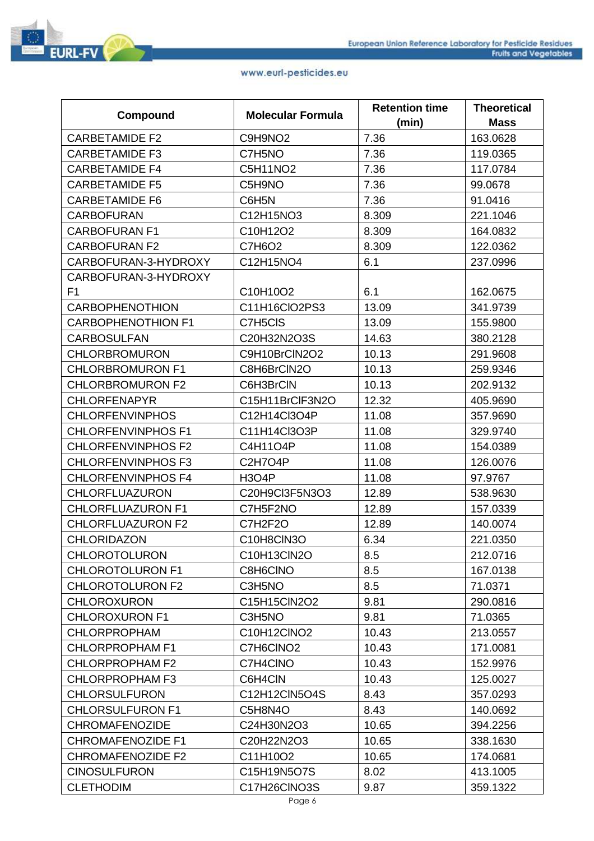|                           |                          | <b>Retention time</b> | <b>Theoretical</b> |
|---------------------------|--------------------------|-----------------------|--------------------|
| Compound                  | <b>Molecular Formula</b> | (min)                 | <b>Mass</b>        |
| <b>CARBETAMIDE F2</b>     | C9H9NO2                  | 7.36                  | 163.0628           |
| <b>CARBETAMIDE F3</b>     | C7H5NO                   | 7.36                  | 119.0365           |
| <b>CARBETAMIDE F4</b>     | C5H11NO2                 | 7.36                  | 117.0784           |
| <b>CARBETAMIDE F5</b>     | C5H9NO                   | 7.36                  | 99.0678            |
| <b>CARBETAMIDE F6</b>     | C6H5N                    | 7.36                  | 91.0416            |
| <b>CARBOFURAN</b>         | C12H15NO3                | 8.309                 | 221.1046           |
| <b>CARBOFURAN F1</b>      | C10H12O2                 | 8.309                 | 164.0832           |
| <b>CARBOFURAN F2</b>      | C7H6O2                   | 8.309                 | 122.0362           |
| CARBOFURAN-3-HYDROXY      | C12H15NO4                | 6.1                   | 237.0996           |
| CARBOFURAN-3-HYDROXY      |                          |                       |                    |
| F <sub>1</sub>            | C10H10O2                 | 6.1                   | 162.0675           |
| <b>CARBOPHENOTHION</b>    | C11H16ClO2PS3            | 13.09                 | 341.9739           |
| <b>CARBOPHENOTHION F1</b> | C7H5CIS                  | 13.09                 | 155.9800           |
| <b>CARBOSULFAN</b>        | C20H32N2O3S              | 14.63                 | 380.2128           |
| <b>CHLORBROMURON</b>      | C9H10BrCIN2O2            | 10.13                 | 291.9608           |
| <b>CHLORBROMURON F1</b>   | C8H6BrCIN2O              | 10.13                 | 259.9346           |
| <b>CHLORBROMURON F2</b>   | C6H3BrCIN                | 10.13                 | 202.9132           |
| <b>CHLORFENAPYR</b>       | C15H11BrClF3N2O          | 12.32                 | 405.9690           |
| <b>CHLORFENVINPHOS</b>    | C12H14Cl3O4P             | 11.08                 | 357.9690           |
| <b>CHLORFENVINPHOS F1</b> | C11H14Cl3O3P             | 11.08                 | 329.9740           |
| <b>CHLORFENVINPHOS F2</b> | C4H11O4P                 | 11.08                 | 154.0389           |
| <b>CHLORFENVINPHOS F3</b> | <b>C2H7O4P</b>           | 11.08                 | 126.0076           |
| <b>CHLORFENVINPHOS F4</b> | <b>H3O4P</b>             | 11.08                 | 97.9767            |
| <b>CHLORFLUAZURON</b>     | C20H9Cl3F5N3O3           | 12.89                 | 538.9630           |
| <b>CHLORFLUAZURON F1</b>  | C7H5F2NO                 | 12.89                 | 157.0339           |
| <b>CHLORFLUAZURON F2</b>  | C7H2F2O                  | 12.89                 | 140.0074           |
| <b>CHLORIDAZON</b>        | C10H8CIN3O               | 6.34                  | 221.0350           |
| <b>CHLOROTOLURON</b>      | C10H13ClN2O              | 8.5                   | 212.0716           |
| <b>CHLOROTOLURON F1</b>   | C8H6CINO                 | 8.5                   | 167.0138           |
| <b>CHLOROTOLURON F2</b>   | C3H5NO                   | 8.5                   | 71.0371            |
| <b>CHLOROXURON</b>        | C15H15ClN2O2             | 9.81                  | 290.0816           |
| <b>CHLOROXURON F1</b>     | C3H5NO                   | 9.81                  | 71.0365            |
| <b>CHLORPROPHAM</b>       | C10H12CINO2              | 10.43                 | 213.0557           |
| <b>CHLORPROPHAM F1</b>    | C7H6CINO2                | 10.43                 | 171.0081           |
| <b>CHLORPROPHAM F2</b>    | C7H4CINO                 | 10.43                 | 152.9976           |
| <b>CHLORPROPHAM F3</b>    | C6H4CIN                  | 10.43                 | 125.0027           |
| <b>CHLORSULFURON</b>      | C12H12CIN5O4S            | 8.43                  | 357.0293           |
| <b>CHLORSULFURON F1</b>   | C5H8N4O                  | 8.43                  | 140.0692           |
| <b>CHROMAFENOZIDE</b>     | C24H30N2O3               | 10.65                 | 394.2256           |
| <b>CHROMAFENOZIDE F1</b>  | C20H22N2O3               | 10.65                 | 338.1630           |
| <b>CHROMAFENOZIDE F2</b>  | C11H10O2                 | 10.65                 | 174.0681           |
| <b>CINOSULFURON</b>       | C15H19N5O7S              | 8.02                  | 413.1005           |
| <b>CLETHODIM</b>          | C17H26CINO3S             | 9.87                  | 359.1322           |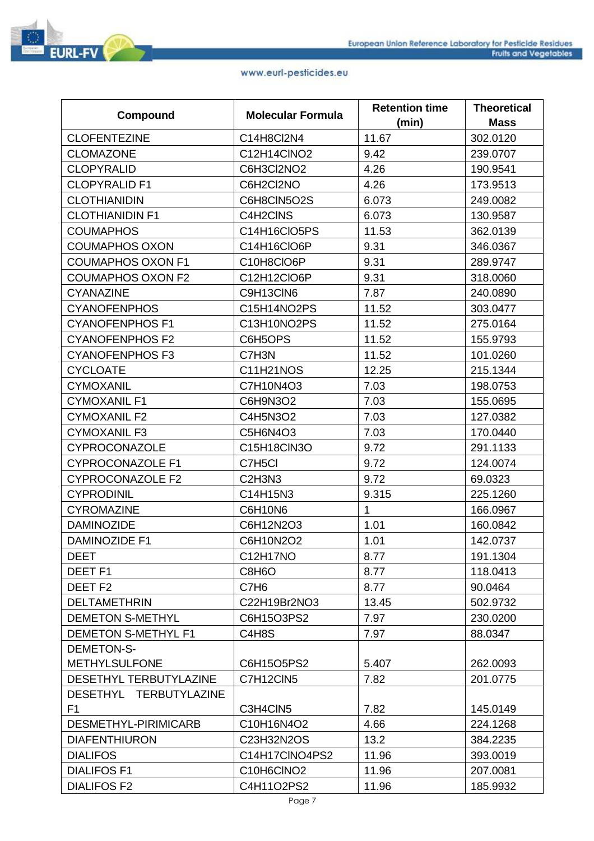

|                            |                                              | <b>Retention time</b> | <b>Theoretical</b> |
|----------------------------|----------------------------------------------|-----------------------|--------------------|
| Compound                   | <b>Molecular Formula</b>                     | (min)                 | <b>Mass</b>        |
| <b>CLOFENTEZINE</b>        | C14H8Cl2N4                                   | 11.67                 | 302.0120           |
| <b>CLOMAZONE</b>           | C12H14CINO2                                  | 9.42                  | 239.0707           |
| <b>CLOPYRALID</b>          | C6H3Cl2NO2                                   | 4.26                  | 190.9541           |
| <b>CLOPYRALID F1</b>       | C6H2Cl2NO                                    | 4.26                  | 173.9513           |
| <b>CLOTHIANIDIN</b>        | C6H8CIN5O2S                                  | 6.073                 | 249.0082           |
| <b>CLOTHIANIDIN F1</b>     | C4H2CINS                                     | 6.073                 | 130.9587           |
| <b>COUMAPHOS</b>           | C14H16CIO5PS                                 | 11.53                 | 362.0139           |
| <b>COUMAPHOS OXON</b>      | C14H16CIO6P                                  | 9.31                  | 346.0367           |
| <b>COUMAPHOS OXON F1</b>   | C10H8CIO6P                                   | 9.31                  | 289.9747           |
| <b>COUMAPHOS OXON F2</b>   | C12H12CIO6P                                  | 9.31                  | 318.0060           |
| <b>CYANAZINE</b>           | C9H13CIN6                                    | 7.87                  | 240.0890           |
| <b>CYANOFENPHOS</b>        | C15H14NO2PS                                  | 11.52                 | 303.0477           |
| <b>CYANOFENPHOS F1</b>     | C13H10NO2PS                                  | 11.52                 | 275.0164           |
| <b>CYANOFENPHOS F2</b>     | C6H5OPS                                      | 11.52                 | 155.9793           |
| <b>CYANOFENPHOS F3</b>     | C7H3N                                        | 11.52                 | 101.0260           |
| <b>CYCLOATE</b>            | C11H21NOS                                    | 12.25                 | 215.1344           |
| <b>CYMOXANIL</b>           | C7H10N4O3                                    | 7.03                  | 198.0753           |
| <b>CYMOXANIL F1</b>        | C6H9N3O2                                     | 7.03                  | 155.0695           |
| <b>CYMOXANIL F2</b>        | C4H5N3O2                                     | 7.03                  | 127.0382           |
| <b>CYMOXANIL F3</b>        | C5H6N4O3                                     | 7.03                  | 170.0440           |
| CYPROCONAZOLE              | C15H18ClN3O                                  | 9.72                  | 291.1133           |
| <b>CYPROCONAZOLE F1</b>    | C7H5Cl                                       | 9.72                  | 124.0074           |
| <b>CYPROCONAZOLE F2</b>    | C <sub>2</sub> H <sub>3</sub> N <sub>3</sub> | 9.72                  | 69.0323            |
| <b>CYPRODINIL</b>          | C14H15N3                                     | 9.315                 | 225.1260           |
| <b>CYROMAZINE</b>          | C6H10N6                                      | $\mathbf{1}$          | 166.0967           |
| <b>DAMINOZIDE</b>          | C6H12N2O3                                    | 1.01                  | 160.0842           |
| <b>DAMINOZIDE F1</b>       | C6H10N2O2                                    | 1.01                  | 142.0737           |
| <b>DEET</b>                | C12H17NO                                     | 8.77                  | 191.1304           |
| DEET <sub>F1</sub>         | C8H6O                                        | 8.77                  | 118.0413           |
| DEET <sub>F2</sub>         | C7H <sub>6</sub>                             | 8.77                  | 90.0464            |
| <b>DELTAMETHRIN</b>        | C22H19Br2NO3                                 | 13.45                 | 502.9732           |
| <b>DEMETON S-METHYL</b>    | C6H15O3PS2                                   | 7.97                  | 230.0200           |
| <b>DEMETON S-METHYL F1</b> | C4H8S                                        | 7.97                  | 88.0347            |
| <b>DEMETON-S-</b>          |                                              |                       |                    |
| <b>METHYLSULFONE</b>       | C6H15O5PS2                                   | 5.407                 | 262.0093           |
| DESETHYL TERBUTYLAZINE     | C7H12CIN5                                    | 7.82                  | 201.0775           |
| DESETHYL TERBUTYLAZINE     |                                              |                       |                    |
| F <sub>1</sub>             | C3H4CIN5                                     | 7.82                  | 145.0149           |
| DESMETHYL-PIRIMICARB       | C10H16N4O2                                   | 4.66                  | 224.1268           |
| <b>DIAFENTHIURON</b>       | C23H32N2OS                                   | 13.2                  | 384.2235           |
| <b>DIALIFOS</b>            | C14H17CINO4PS2                               | 11.96                 | 393.0019           |
| <b>DIALIFOS F1</b>         | C10H6CINO2                                   | 11.96                 | 207.0081           |
| <b>DIALIFOS F2</b>         | C4H11O2PS2                                   | 11.96                 | 185.9932           |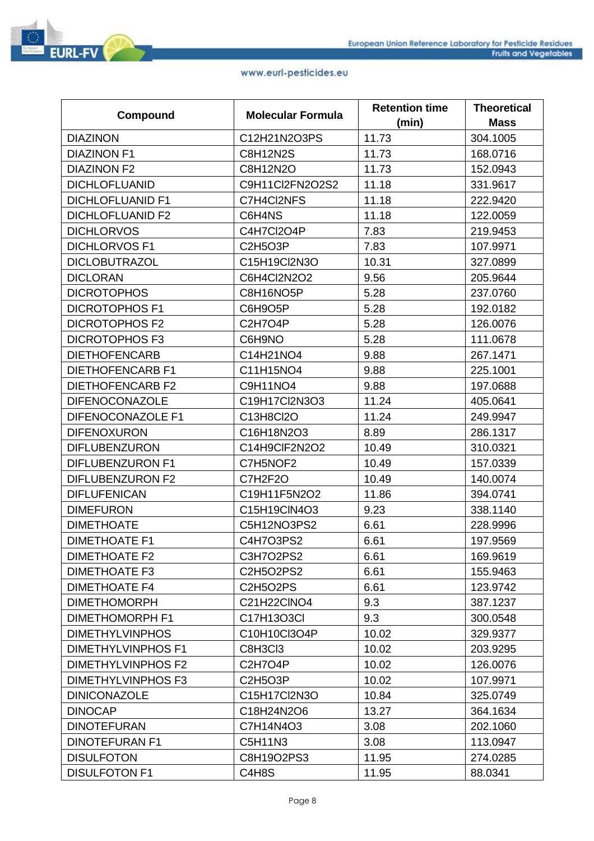|                           | <b>Molecular Formula</b> | <b>Retention time</b> | <b>Theoretical</b> |
|---------------------------|--------------------------|-----------------------|--------------------|
| Compound                  |                          | (min)                 | <b>Mass</b>        |
| <b>DIAZINON</b>           | C12H21N2O3PS             | 11.73                 | 304.1005           |
| <b>DIAZINON F1</b>        | <b>C8H12N2S</b>          | 11.73                 | 168.0716           |
| <b>DIAZINON F2</b>        | C8H12N2O                 | 11.73                 | 152.0943           |
| <b>DICHLOFLUANID</b>      | C9H11Cl2FN2O2S2          | 11.18                 | 331.9617           |
| <b>DICHLOFLUANID F1</b>   | C7H4Cl2NFS               | 11.18                 | 222.9420           |
| <b>DICHLOFLUANID F2</b>   | C6H4NS                   | 11.18                 | 122.0059           |
| <b>DICHLORVOS</b>         | C4H7Cl2O4P               | 7.83                  | 219.9453           |
| <b>DICHLORVOS F1</b>      | <b>C2H5O3P</b>           | 7.83                  | 107.9971           |
| <b>DICLOBUTRAZOL</b>      | C15H19Cl2N3O             | 10.31                 | 327.0899           |
| <b>DICLORAN</b>           | C6H4Cl2N2O2              | 9.56                  | 205.9644           |
| <b>DICROTOPHOS</b>        | C8H16NO5P                | 5.28                  | 237.0760           |
| <b>DICROTOPHOS F1</b>     | C6H9O5P                  | 5.28                  | 192.0182           |
| <b>DICROTOPHOS F2</b>     | C2H7O4P                  | 5.28                  | 126.0076           |
| <b>DICROTOPHOS F3</b>     | C6H9NO                   | 5.28                  | 111.0678           |
| <b>DIETHOFENCARB</b>      | C14H21NO4                | 9.88                  | 267.1471           |
| <b>DIETHOFENCARB F1</b>   | C11H15NO4                | 9.88                  | 225.1001           |
| <b>DIETHOFENCARB F2</b>   | C9H11NO4                 | 9.88                  | 197.0688           |
| <b>DIFENOCONAZOLE</b>     | C19H17Cl2N3O3            | 11.24                 | 405.0641           |
| DIFENOCONAZOLE F1         | C13H8Cl2O                | 11.24                 | 249.9947           |
| <b>DIFENOXURON</b>        | C16H18N2O3               | 8.89                  | 286.1317           |
| <b>DIFLUBENZURON</b>      | C14H9CIF2N2O2            | 10.49                 | 310.0321           |
| <b>DIFLUBENZURON F1</b>   | C7H5NOF2                 | 10.49                 | 157.0339           |
| <b>DIFLUBENZURON F2</b>   | C7H2F2O                  | 10.49                 | 140.0074           |
| <b>DIFLUFENICAN</b>       | C19H11F5N2O2             | 11.86                 | 394.0741           |
| <b>DIMEFURON</b>          | C15H19ClN4O3             | 9.23                  | 338.1140           |
| <b>DIMETHOATE</b>         | C5H12NO3PS2              | 6.61                  | 228.9996           |
| <b>DIMETHOATE F1</b>      | C4H7O3PS2                | 6.61                  | 197.9569           |
| <b>DIMETHOATE F2</b>      | C3H7O2PS2                | 6.61                  | 169.9619           |
| <b>DIMETHOATE F3</b>      | C2H5O2PS2                | 6.61                  | 155.9463           |
| <b>DIMETHOATE F4</b>      | C2H5O2PS                 | 6.61                  | 123.9742           |
| <b>DIMETHOMORPH</b>       | C21H22CINO4              | 9.3                   | 387.1237           |
| <b>DIMETHOMORPH F1</b>    | C17H13O3Cl               | 9.3                   | 300.0548           |
| <b>DIMETHYLVINPHOS</b>    | C10H10Cl3O4P             | 10.02                 | 329.9377           |
| <b>DIMETHYLVINPHOS F1</b> | C8H3Cl3                  | 10.02                 | 203.9295           |
| <b>DIMETHYLVINPHOS F2</b> | C2H7O4P                  | 10.02                 | 126.0076           |
| <b>DIMETHYLVINPHOS F3</b> | <b>C2H5O3P</b>           | 10.02                 | 107.9971           |
| <b>DINICONAZOLE</b>       | C15H17Cl2N3O             | 10.84                 | 325.0749           |
| <b>DINOCAP</b>            | C18H24N2O6               | 13.27                 | 364.1634           |
| <b>DINOTEFURAN</b>        | C7H14N4O3                | 3.08                  | 202.1060           |
| <b>DINOTEFURAN F1</b>     | C5H11N3                  | 3.08                  | 113.0947           |
| <b>DISULFOTON</b>         | C8H19O2PS3               | 11.95                 | 274.0285           |
| <b>DISULFOTON F1</b>      | C4H8S                    | 11.95                 | 88.0341            |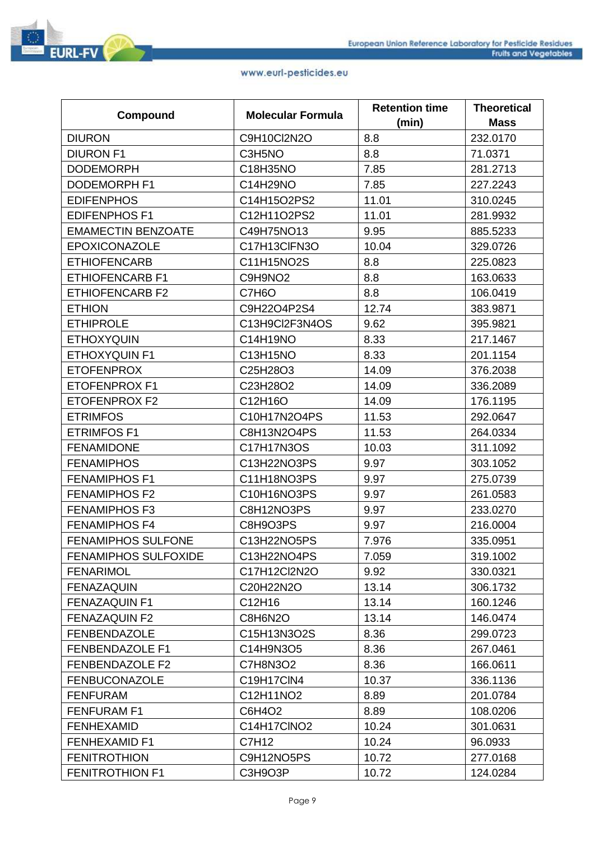|                             |                          | <b>Retention time</b> | <b>Theoretical</b> |
|-----------------------------|--------------------------|-----------------------|--------------------|
| Compound                    | <b>Molecular Formula</b> | (min)                 | <b>Mass</b>        |
| <b>DIURON</b>               | C9H10Cl2N2O              | 8.8                   | 232.0170           |
| <b>DIURON F1</b>            | C3H5NO                   | 8.8                   | 71.0371            |
| <b>DODEMORPH</b>            | C18H35NO                 | 7.85                  | 281.2713           |
| <b>DODEMORPH F1</b>         | C14H29NO                 | 7.85                  | 227.2243           |
| <b>EDIFENPHOS</b>           | C14H15O2PS2              | 11.01                 | 310.0245           |
| <b>EDIFENPHOS F1</b>        | C12H11O2PS2              | 11.01                 | 281.9932           |
| <b>EMAMECTIN BENZOATE</b>   | C49H75NO13               | 9.95                  | 885.5233           |
| <b>EPOXICONAZOLE</b>        | C17H13CIFN3O             | 10.04                 | 329.0726           |
| <b>ETHIOFENCARB</b>         | C11H15NO2S               | 8.8                   | 225.0823           |
| <b>ETHIOFENCARB F1</b>      | C9H9NO2                  | 8.8                   | 163.0633           |
| <b>ETHIOFENCARB F2</b>      | C7H6O                    | 8.8                   | 106.0419           |
| <b>ETHION</b>               | C9H22O4P2S4              | 12.74                 | 383.9871           |
| <b>ETHIPROLE</b>            | C13H9Cl2F3N4OS           | 9.62                  | 395.9821           |
| <b>ETHOXYQUIN</b>           | C14H19NO                 | 8.33                  | 217.1467           |
| <b>ETHOXYQUIN F1</b>        | C13H15NO                 | 8.33                  | 201.1154           |
| <b>ETOFENPROX</b>           | C25H28O3                 | 14.09                 | 376.2038           |
| <b>ETOFENPROX F1</b>        | C23H28O2                 | 14.09                 | 336.2089           |
| ETOFENPROX F2               | C12H16O                  | 14.09                 | 176.1195           |
| <b>ETRIMFOS</b>             | C10H17N2O4PS             | 11.53                 | 292.0647           |
| <b>ETRIMFOS F1</b>          | C8H13N2O4PS              | 11.53                 | 264.0334           |
| <b>FENAMIDONE</b>           | C17H17N3OS               | 10.03                 | 311.1092           |
| <b>FENAMIPHOS</b>           | C13H22NO3PS              | 9.97                  | 303.1052           |
| <b>FENAMIPHOS F1</b>        | C11H18NO3PS              | 9.97                  | 275.0739           |
| <b>FENAMIPHOS F2</b>        | C10H16NO3PS              | 9.97                  | 261.0583           |
| <b>FENAMIPHOS F3</b>        | C8H12NO3PS               | 9.97                  | 233.0270           |
| <b>FENAMIPHOS F4</b>        | C8H9O3PS                 | 9.97                  | 216.0004           |
| <b>FENAMIPHOS SULFONE</b>   | C13H22NO5PS              | 7.976                 | 335.0951           |
| <b>FENAMIPHOS SULFOXIDE</b> | C13H22NO4PS              | 7.059                 | 319.1002           |
| <b>FENARIMOL</b>            | C17H12Cl2N2O             | 9.92                  | 330.0321           |
| <b>FENAZAQUIN</b>           | C20H22N2O                | 13.14                 | 306.1732           |
| <b>FENAZAQUIN F1</b>        | C12H16                   | 13.14                 | 160.1246           |
| <b>FENAZAQUIN F2</b>        | C8H6N2O                  | 13.14                 | 146.0474           |
| <b>FENBENDAZOLE</b>         | C15H13N3O2S              | 8.36                  | 299.0723           |
| <b>FENBENDAZOLE F1</b>      | C14H9N3O5                | 8.36                  | 267.0461           |
| <b>FENBENDAZOLE F2</b>      | C7H8N3O2                 | 8.36                  | 166.0611           |
| <b>FENBUCONAZOLE</b>        | C19H17CIN4               | 10.37                 | 336.1136           |
| <b>FENFURAM</b>             | C12H11NO2                | 8.89                  | 201.0784           |
| <b>FENFURAM F1</b>          | C6H4O2                   | 8.89                  | 108.0206           |
| <b>FENHEXAMID</b>           | C14H17CINO2              | 10.24                 | 301.0631           |
| <b>FENHEXAMID F1</b>        | C7H12                    | 10.24                 | 96.0933            |
| <b>FENITROTHION</b>         | C9H12NO5PS               | 10.72                 | 277.0168           |
| <b>FENITROTHION F1</b>      | C3H9O3P                  | 10.72                 | 124.0284           |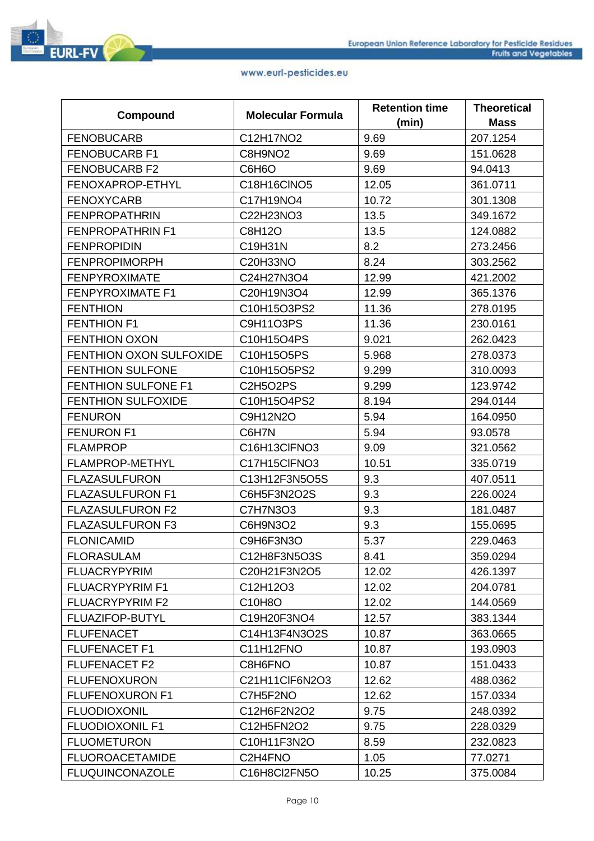|                                | <b>Molecular Formula</b> | <b>Retention time</b> | <b>Theoretical</b> |
|--------------------------------|--------------------------|-----------------------|--------------------|
| Compound                       |                          | (min)                 | <b>Mass</b>        |
| <b>FENOBUCARB</b>              | C12H17NO2                | 9.69                  | 207.1254           |
| <b>FENOBUCARB F1</b>           | C8H9NO <sub>2</sub>      | 9.69                  | 151.0628           |
| <b>FENOBUCARB F2</b>           | C6H6O                    | 9.69                  | 94.0413            |
| FENOXAPROP-ETHYL               | C18H16CINO5              | 12.05                 | 361.0711           |
| <b>FENOXYCARB</b>              | C17H19NO4                | 10.72                 | 301.1308           |
| <b>FENPROPATHRIN</b>           | C22H23NO3                | 13.5                  | 349.1672           |
| <b>FENPROPATHRIN F1</b>        | C8H12O                   | 13.5                  | 124.0882           |
| <b>FENPROPIDIN</b>             | C19H31N                  | 8.2                   | 273.2456           |
| <b>FENPROPIMORPH</b>           | C20H33NO                 | 8.24                  | 303.2562           |
| <b>FENPYROXIMATE</b>           | C24H27N3O4               | 12.99                 | 421.2002           |
| <b>FENPYROXIMATE F1</b>        | C20H19N3O4               | 12.99                 | 365.1376           |
| <b>FENTHION</b>                | C10H15O3PS2              | 11.36                 | 278.0195           |
| <b>FENTHION F1</b>             | C9H11O3PS                | 11.36                 | 230.0161           |
| <b>FENTHION OXON</b>           | C10H15O4PS               | 9.021                 | 262.0423           |
| <b>FENTHION OXON SULFOXIDE</b> | C10H15O5PS               | 5.968                 | 278.0373           |
| <b>FENTHION SULFONE</b>        | C10H15O5PS2              | 9.299                 | 310.0093           |
| <b>FENTHION SULFONE F1</b>     | <b>C2H5O2PS</b>          | 9.299                 | 123.9742           |
| <b>FENTHION SULFOXIDE</b>      | C10H15O4PS2              | 8.194                 | 294.0144           |
| <b>FENURON</b>                 | C9H12N2O                 | 5.94                  | 164.0950           |
| <b>FENURON F1</b>              | C6H7N                    | 5.94                  | 93.0578            |
| <b>FLAMPROP</b>                | C16H13CIFNO3             | 9.09                  | 321.0562           |
| FLAMPROP-METHYL                | C17H15CIFNO3             | 10.51                 | 335.0719           |
| <b>FLAZASULFURON</b>           | C13H12F3N5O5S            | 9.3                   | 407.0511           |
| <b>FLAZASULFURON F1</b>        | C6H5F3N2O2S              | 9.3                   | 226.0024           |
| <b>FLAZASULFURON F2</b>        | C7H7N3O3                 | 9.3                   | 181.0487           |
| <b>FLAZASULFURON F3</b>        | C6H9N3O2                 | 9.3                   | 155.0695           |
| <b>FLONICAMID</b>              | C9H6F3N3O                | 5.37                  | 229.0463           |
| <b>FLORASULAM</b>              | C12H8F3N5O3S             | 8.41                  | 359.0294           |
| <b>FLUACRYPYRIM</b>            | C20H21F3N2O5             | 12.02                 | 426.1397           |
| <b>FLUACRYPYRIM F1</b>         | C12H12O3                 | 12.02                 | 204.0781           |
| <b>FLUACRYPYRIM F2</b>         | C10H8O                   | 12.02                 | 144.0569           |
| FLUAZIFOP-BUTYL                | C19H20F3NO4              | 12.57                 | 383.1344           |
| <b>FLUFENACET</b>              | C14H13F4N3O2S            | 10.87                 | 363.0665           |
| <b>FLUFENACET F1</b>           | C11H12FNO                | 10.87                 | 193.0903           |
| <b>FLUFENACET F2</b>           | C8H6FNO                  | 10.87                 | 151.0433           |
| <b>FLUFENOXURON</b>            | C21H11ClF6N2O3           | 12.62                 | 488.0362           |
| <b>FLUFENOXURON F1</b>         | C7H5F2NO                 | 12.62                 | 157.0334           |
| <b>FLUODIOXONIL</b>            | C12H6F2N2O2              | 9.75                  | 248.0392           |
| <b>FLUODIOXONIL F1</b>         | C12H5FN2O2               | 9.75                  | 228.0329           |
| <b>FLUOMETURON</b>             | C10H11F3N2O              | 8.59                  | 232.0823           |
| <b>FLUOROACETAMIDE</b>         | C2H4FNO                  | 1.05                  | 77.0271            |
| <b>FLUQUINCONAZOLE</b>         | C16H8Cl2FN5O             | 10.25                 | 375.0084           |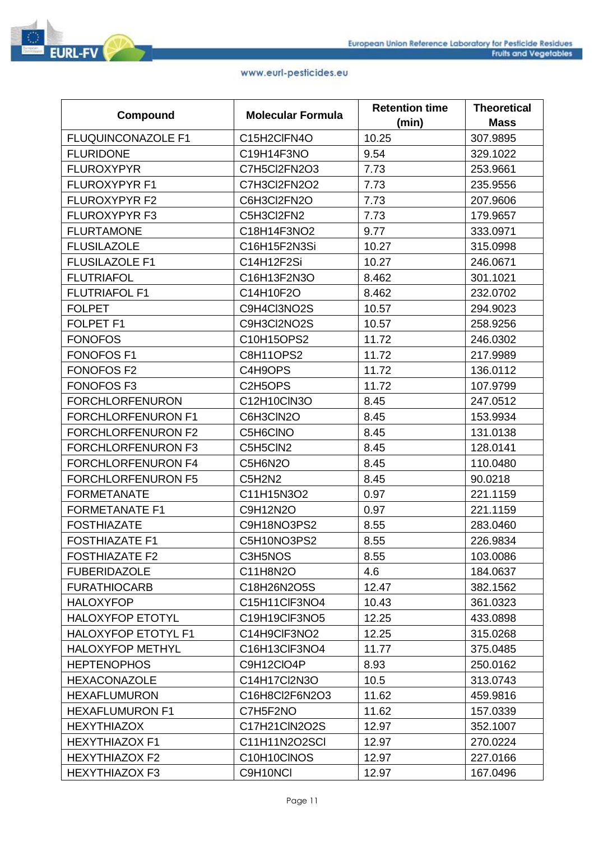

|                            |                          | <b>Retention time</b> | <b>Theoretical</b> |
|----------------------------|--------------------------|-----------------------|--------------------|
| Compound                   | <b>Molecular Formula</b> | (min)                 | <b>Mass</b>        |
| <b>FLUQUINCONAZOLE F1</b>  | C15H2CIFN4O              | 10.25                 | 307.9895           |
| <b>FLURIDONE</b>           | C19H14F3NO               | 9.54                  | 329.1022           |
| <b>FLUROXYPYR</b>          | C7H5Cl2FN2O3             | 7.73                  | 253.9661           |
| <b>FLUROXYPYR F1</b>       | C7H3Cl2FN2O2             | 7.73                  | 235.9556           |
| <b>FLUROXYPYR F2</b>       | C6H3Cl2FN2O              | 7.73                  | 207.9606           |
| <b>FLUROXYPYR F3</b>       | C5H3Cl2FN2               | 7.73                  | 179.9657           |
| <b>FLURTAMONE</b>          | C18H14F3NO2              | 9.77                  | 333.0971           |
| <b>FLUSILAZOLE</b>         | C16H15F2N3Si             | 10.27                 | 315.0998           |
| <b>FLUSILAZOLE F1</b>      | C14H12F2Si               | 10.27                 | 246.0671           |
| <b>FLUTRIAFOL</b>          | C16H13F2N3O              | 8.462                 | 301.1021           |
| <b>FLUTRIAFOL F1</b>       | C14H10F2O                | 8.462                 | 232.0702           |
| <b>FOLPET</b>              | C9H4Cl3NO2S              | 10.57                 | 294.9023           |
| <b>FOLPET F1</b>           | C9H3Cl2NO2S              | 10.57                 | 258.9256           |
| <b>FONOFOS</b>             | C10H15OPS2               | 11.72                 | 246.0302           |
| <b>FONOFOS F1</b>          | <b>C8H11OPS2</b>         | 11.72                 | 217.9989           |
| <b>FONOFOS F2</b>          | C4H9OPS                  | 11.72                 | 136.0112           |
| <b>FONOFOS F3</b>          | C2H5OPS                  | 11.72                 | 107.9799           |
| <b>FORCHLORFENURON</b>     | C12H10ClN3O              | 8.45                  | 247.0512           |
| <b>FORCHLORFENURON F1</b>  | C6H3CIN2O                | 8.45                  | 153.9934           |
| <b>FORCHLORFENURON F2</b>  | C5H6CINO                 | 8.45                  | 131.0138           |
| <b>FORCHLORFENURON F3</b>  | C5H5CIN2                 | 8.45                  | 128.0141           |
| FORCHLORFENURON F4         | C5H6N2O                  | 8.45                  | 110.0480           |
| <b>FORCHLORFENURON F5</b>  | C5H2N2                   | 8.45                  | 90.0218            |
| <b>FORMETANATE</b>         | C11H15N3O2               | 0.97                  | 221.1159           |
| <b>FORMETANATE F1</b>      | C9H12N2O                 | 0.97                  | 221.1159           |
| <b>FOSTHIAZATE</b>         | C9H18NO3PS2              | 8.55                  | 283.0460           |
| <b>FOSTHIAZATE F1</b>      | C5H10NO3PS2              | 8.55                  | 226.9834           |
| <b>FOSTHIAZATE F2</b>      | C3H5NOS                  | 8.55                  | 103.0086           |
| <b>FUBERIDAZOLE</b>        | C11H8N2O                 | 4.6                   | 184.0637           |
| <b>FURATHIOCARB</b>        | C18H26N2O5S              | 12.47                 | 382.1562           |
| <b>HALOXYFOP</b>           | C15H11CIF3NO4            | 10.43                 | 361.0323           |
| <b>HALOXYFOP ETOTYL</b>    | C19H19CIF3NO5            | 12.25                 | 433.0898           |
| <b>HALOXYFOP ETOTYL F1</b> | C14H9CIF3NO2             | 12.25                 | 315.0268           |
| <b>HALOXYFOP METHYL</b>    | C16H13CIF3NO4            | 11.77                 | 375.0485           |
| <b>HEPTENOPHOS</b>         | C9H12CIO4P               | 8.93                  | 250.0162           |
| <b>HEXACONAZOLE</b>        | C14H17Cl2N3O             | 10.5                  | 313.0743           |
| <b>HEXAFLUMURON</b>        | C16H8Cl2F6N2O3           | 11.62                 | 459.9816           |
| <b>HEXAFLUMURON F1</b>     | C7H5F2NO                 | 11.62                 | 157.0339           |
| <b>HEXYTHIAZOX</b>         | C17H21CIN2O2S            | 12.97                 | 352.1007           |
| <b>HEXYTHIAZOX F1</b>      | C11H11N2O2SCI            | 12.97                 | 270.0224           |
| <b>HEXYTHIAZOX F2</b>      | C10H10CINOS              | 12.97                 | 227.0166           |
| <b>HEXYTHIAZOX F3</b>      | C9H10NCI                 | 12.97                 | 167.0496           |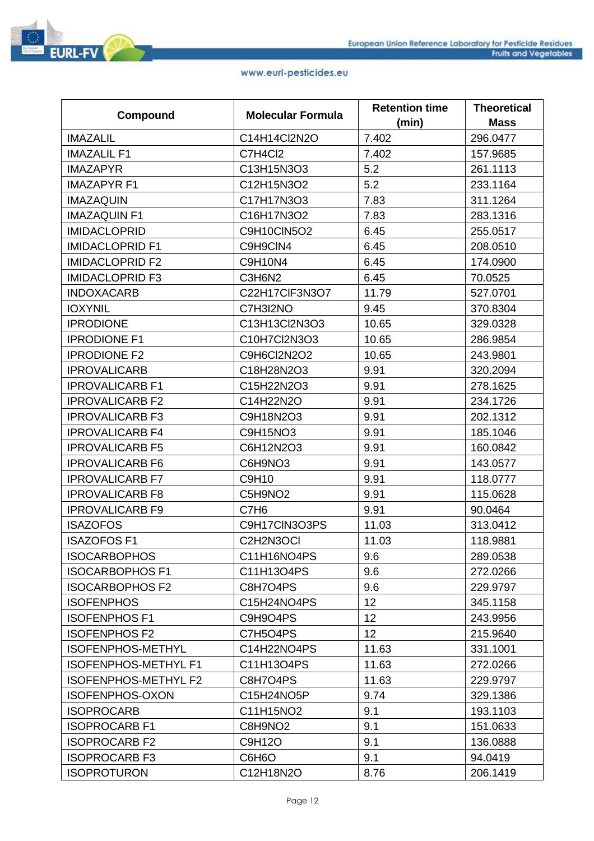|                             |                          | <b>Retention time</b> | <b>Theoretical</b> |
|-----------------------------|--------------------------|-----------------------|--------------------|
| Compound                    | <b>Molecular Formula</b> | (min)                 | <b>Mass</b>        |
| <b>IMAZALIL</b>             | C14H14Cl2N2O             | 7.402                 | 296.0477           |
| <b>IMAZALIL F1</b>          | C7H4Cl2                  | 7.402                 | 157.9685           |
| <b>IMAZAPYR</b>             | C13H15N3O3               | 5.2                   | 261.1113           |
| <b>IMAZAPYR F1</b>          | C12H15N3O2               | 5.2                   | 233.1164           |
| <b>IMAZAQUIN</b>            | C17H17N3O3               | 7.83                  | 311.1264           |
| <b>IMAZAQUIN F1</b>         | C16H17N3O2               | 7.83                  | 283.1316           |
| <b>IMIDACLOPRID</b>         | <b>C9H10CIN5O2</b>       | 6.45                  | 255.0517           |
| <b>IMIDACLOPRID F1</b>      | C9H9CIN4                 | 6.45                  | 208.0510           |
| <b>IMIDACLOPRID F2</b>      | C9H10N4                  | 6.45                  | 174.0900           |
| <b>IMIDACLOPRID F3</b>      | C3H6N2                   | 6.45                  | 70.0525            |
| <b>INDOXACARB</b>           | C22H17ClF3N3O7           | 11.79                 | 527.0701           |
| <b>IOXYNIL</b>              | C7H3I2NO                 | 9.45                  | 370.8304           |
| <b>IPRODIONE</b>            | C13H13Cl2N3O3            | 10.65                 | 329.0328           |
| <b>IPRODIONE F1</b>         | C10H7Cl2N3O3             | 10.65                 | 286.9854           |
| <b>IPRODIONE F2</b>         | C9H6Cl2N2O2              | 10.65                 | 243.9801           |
| <b>IPROVALICARB</b>         | C18H28N2O3               | 9.91                  | 320.2094           |
| <b>IPROVALICARB F1</b>      | C15H22N2O3               | 9.91                  | 278.1625           |
| <b>IPROVALICARB F2</b>      | C14H22N2O                | 9.91                  | 234.1726           |
| <b>IPROVALICARB F3</b>      | C9H18N2O3                | 9.91                  | 202.1312           |
| <b>IPROVALICARB F4</b>      | C9H15NO3                 | 9.91                  | 185.1046           |
| <b>IPROVALICARB F5</b>      | C6H12N2O3                | 9.91                  | 160.0842           |
| <b>IPROVALICARB F6</b>      | C6H9NO3                  | 9.91                  | 143.0577           |
| <b>IPROVALICARB F7</b>      | C9H10                    | 9.91                  | 118.0777           |
| <b>IPROVALICARB F8</b>      | C5H9NO2                  | 9.91                  | 115.0628           |
| <b>IPROVALICARB F9</b>      | C7H <sub>6</sub>         | 9.91                  | 90.0464            |
| <b>ISAZOFOS</b>             | C9H17CIN3O3PS            | 11.03                 | 313.0412           |
| <b>ISAZOFOS F1</b>          | C2H2N3OCI                | 11.03                 | 118.9881           |
| <b>ISOCARBOPHOS</b>         | C11H16NO4PS              | 9.6                   | 289.0538           |
| <b>ISOCARBOPHOS F1</b>      | C11H13O4PS               | 9.6                   | 272.0266           |
| <b>ISOCARBOPHOS F2</b>      | C8H7O4PS                 | 9.6                   | 229.9797           |
| <b>ISOFENPHOS</b>           | C15H24NO4PS              | 12                    | 345.1158           |
| <b>ISOFENPHOS F1</b>        | C9H9O4PS                 | 12 <sub>2</sub>       | 243.9956           |
| <b>ISOFENPHOS F2</b>        | C7H5O4PS                 | 12 <sub>2</sub>       | 215.9640           |
| <b>ISOFENPHOS-METHYL</b>    | C14H22NO4PS              | 11.63                 | 331.1001           |
| <b>ISOFENPHOS-METHYL F1</b> | C11H13O4PS               | 11.63                 | 272.0266           |
| <b>ISOFENPHOS-METHYL F2</b> | C8H7O4PS                 | 11.63                 | 229.9797           |
| <b>ISOFENPHOS-OXON</b>      | C15H24NO5P               | 9.74                  | 329.1386           |
| <b>ISOPROCARB</b>           | C11H15NO2                | 9.1                   | 193.1103           |
| <b>ISOPROCARB F1</b>        | C8H9NO2                  | 9.1                   | 151.0633           |
| <b>ISOPROCARB F2</b>        | C9H12O                   | 9.1                   | 136.0888           |
| <b>ISOPROCARB F3</b>        | C6H6O                    | 9.1                   | 94.0419            |
| <b>ISOPROTURON</b>          | C12H18N2O                | 8.76                  | 206.1419           |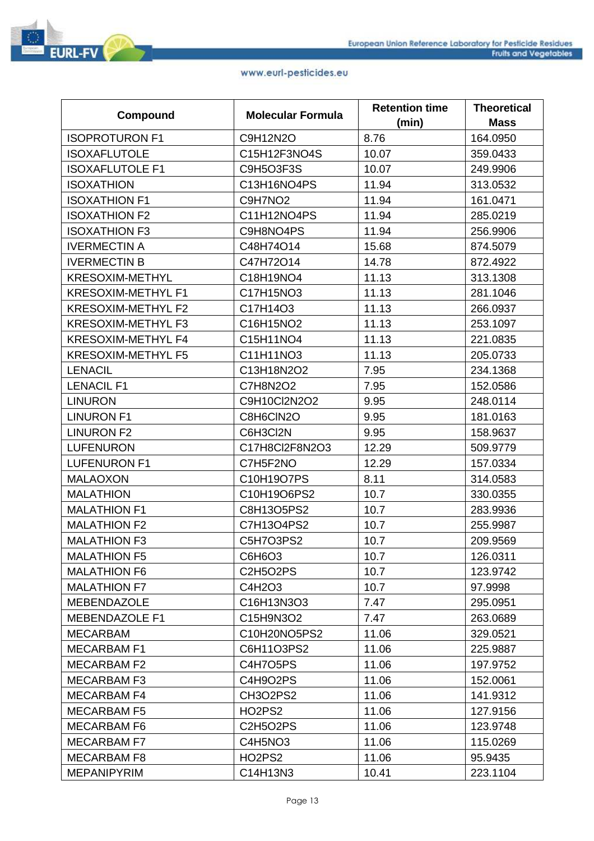|                           | <b>Molecular Formula</b> | <b>Retention time</b> | <b>Theoretical</b> |
|---------------------------|--------------------------|-----------------------|--------------------|
| Compound                  |                          | (min)                 | <b>Mass</b>        |
| <b>ISOPROTURON F1</b>     | C9H12N2O                 | 8.76                  | 164.0950           |
| <b>ISOXAFLUTOLE</b>       | C15H12F3NO4S             | 10.07                 | 359.0433           |
| <b>ISOXAFLUTOLE F1</b>    | C9H5O3F3S                | 10.07                 | 249.9906           |
| <b>ISOXATHION</b>         | C13H16NO4PS              | 11.94                 | 313.0532           |
| <b>ISOXATHION F1</b>      | C9H7NO <sub>2</sub>      | 11.94                 | 161.0471           |
| <b>ISOXATHION F2</b>      | C11H12NO4PS              | 11.94                 | 285.0219           |
| <b>ISOXATHION F3</b>      | C9H8NO4PS                | 11.94                 | 256.9906           |
| <b>IVERMECTIN A</b>       | C48H74O14                | 15.68                 | 874.5079           |
| <b>IVERMECTIN B</b>       | C47H72O14                | 14.78                 | 872.4922           |
| <b>KRESOXIM-METHYL</b>    | C18H19NO4                | 11.13                 | 313.1308           |
| <b>KRESOXIM-METHYL F1</b> | C17H15NO3                | 11.13                 | 281.1046           |
| <b>KRESOXIM-METHYL F2</b> | C17H14O3                 | 11.13                 | 266.0937           |
| KRESOXIM-METHYL F3        | C16H15NO2                | 11.13                 | 253.1097           |
| <b>KRESOXIM-METHYL F4</b> | C15H11NO4                | 11.13                 | 221.0835           |
| <b>KRESOXIM-METHYL F5</b> | C11H11NO3                | 11.13                 | 205.0733           |
| <b>LENACIL</b>            | C13H18N2O2               | 7.95                  | 234.1368           |
| <b>LENACIL F1</b>         | C7H8N2O2                 | 7.95                  | 152.0586           |
| <b>LINURON</b>            | C9H10Cl2N2O2             | 9.95                  | 248.0114           |
| <b>LINURON F1</b>         | C8H6CIN2O                | 9.95                  | 181.0163           |
| <b>LINURON F2</b>         | C6H3Cl2N                 | 9.95                  | 158.9637           |
| <b>LUFENURON</b>          | C17H8Cl2F8N2O3           | 12.29                 | 509.9779           |
| <b>LUFENURON F1</b>       | C7H5F2NO                 | 12.29                 | 157.0334           |
| <b>MALAOXON</b>           | C10H19O7PS               | 8.11                  | 314.0583           |
| <b>MALATHION</b>          | C10H19O6PS2              | 10.7                  | 330.0355           |
| <b>MALATHION F1</b>       | C8H13O5PS2               | 10.7                  | 283.9936           |
| <b>MALATHION F2</b>       | C7H13O4PS2               | 10.7                  | 255.9987           |
| <b>MALATHION F3</b>       | C5H7O3PS2                | 10.7                  | 209.9569           |
| <b>MALATHION F5</b>       | C6H6O3                   | 10.7                  | 126.0311           |
| <b>MALATHION F6</b>       | <b>C2H5O2PS</b>          | 10.7                  | 123.9742           |
| <b>MALATHION F7</b>       | C4H2O3                   | 10.7                  | 97.9998            |
| <b>MEBENDAZOLE</b>        | C16H13N3O3               | 7.47                  | 295.0951           |
| MEBENDAZOLE F1            | C15H9N3O2                | 7.47                  | 263.0689           |
| <b>MECARBAM</b>           | C10H20NO5PS2             | 11.06                 | 329.0521           |
| <b>MECARBAM F1</b>        | C6H11O3PS2               | 11.06                 | 225.9887           |
| MECARBAM F2               | C4H7O5PS                 | 11.06                 | 197.9752           |
| <b>MECARBAM F3</b>        | C4H9O2PS                 | 11.06                 | 152.0061           |
| <b>MECARBAM F4</b>        | <b>CH3O2PS2</b>          | 11.06                 | 141.9312           |
| <b>MECARBAM F5</b>        | HO2PS2                   | 11.06                 | 127.9156           |
| <b>MECARBAM F6</b>        | <b>C2H5O2PS</b>          | 11.06                 | 123.9748           |
| <b>MECARBAM F7</b>        | C4H5NO3                  | 11.06                 | 115.0269           |
| <b>MECARBAM F8</b>        | HO2PS2                   | 11.06                 | 95.9435            |
| <b>MEPANIPYRIM</b>        | C14H13N3                 | 10.41                 | 223.1104           |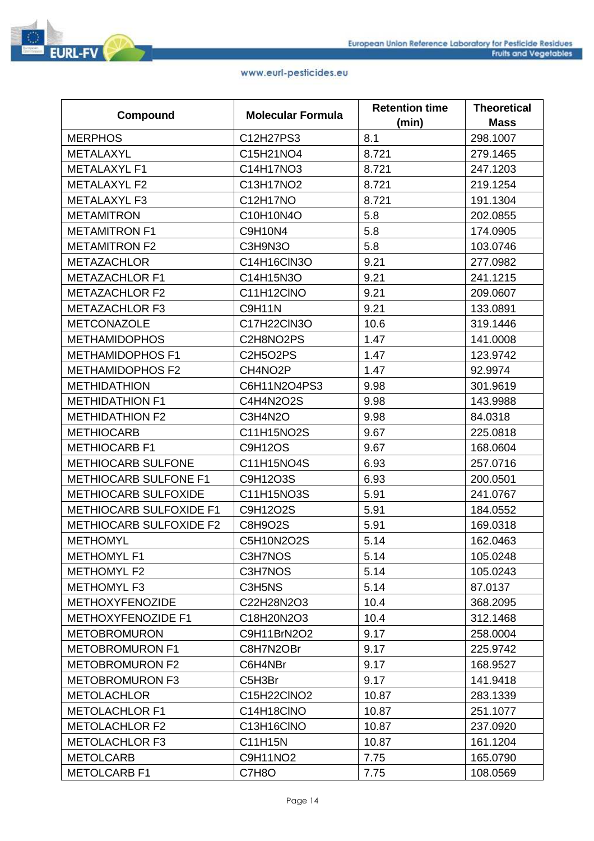| Compound                       | <b>Molecular Formula</b> | <b>Retention time</b> | <b>Theoretical</b> |
|--------------------------------|--------------------------|-----------------------|--------------------|
|                                |                          | (min)                 | <b>Mass</b>        |
| <b>MERPHOS</b>                 | C12H27PS3                | 8.1                   | 298.1007           |
| <b>METALAXYL</b>               | C15H21NO4                | 8.721                 | 279.1465           |
| <b>METALAXYL F1</b>            | C14H17NO3                | 8.721                 | 247.1203           |
| <b>METALAXYL F2</b>            | C13H17NO2                | 8.721                 | 219.1254           |
| <b>METALAXYL F3</b>            | C12H17NO                 | 8.721                 | 191.1304           |
| <b>METAMITRON</b>              | C10H10N4O                | 5.8                   | 202.0855           |
| <b>METAMITRON F1</b>           | C9H10N4                  | 5.8                   | 174.0905           |
| <b>METAMITRON F2</b>           | C3H9N3O                  | 5.8                   | 103.0746           |
| <b>METAZACHLOR</b>             | C14H16CIN3O              | 9.21                  | 277.0982           |
| <b>METAZACHLOR F1</b>          | C14H15N3O                | 9.21                  | 241.1215           |
| <b>METAZACHLOR F2</b>          | C11H12CINO               | 9.21                  | 209.0607           |
| <b>METAZACHLOR F3</b>          | <b>C9H11N</b>            | 9.21                  | 133.0891           |
| <b>METCONAZOLE</b>             | C17H22ClN3O              | 10.6                  | 319.1446           |
| <b>METHAMIDOPHOS</b>           | C2H8NO2PS                | 1.47                  | 141.0008           |
| <b>METHAMIDOPHOS F1</b>        | C2H5O2PS                 | 1.47                  | 123.9742           |
| <b>METHAMIDOPHOS F2</b>        | CH4NO2P                  | 1.47                  | 92.9974            |
| <b>METHIDATHION</b>            | C6H11N2O4PS3             | 9.98                  | 301.9619           |
| <b>METHIDATHION F1</b>         | C4H4N2O2S                | 9.98                  | 143.9988           |
| <b>METHIDATHION F2</b>         | C3H4N2O                  | 9.98                  | 84.0318            |
| <b>METHIOCARB</b>              | C11H15NO2S               | 9.67                  | 225.0818           |
| <b>METHIOCARB F1</b>           | <b>C9H12OS</b>           | 9.67                  | 168.0604           |
| <b>METHIOCARB SULFONE</b>      | C11H15NO4S               | 6.93                  | 257.0716           |
| <b>METHIOCARB SULFONE F1</b>   | C9H12O3S                 | 6.93                  | 200.0501           |
| <b>METHIOCARB SULFOXIDE</b>    | C11H15NO3S               | 5.91                  | 241.0767           |
| <b>METHIOCARB SULFOXIDE F1</b> | C9H12O2S                 | 5.91                  | 184.0552           |
| <b>METHIOCARB SULFOXIDE F2</b> | C8H9O2S                  | 5.91                  | 169.0318           |
| <b>METHOMYL</b>                | C5H10N2O2S               | 5.14                  | 162.0463           |
| <b>METHOMYL F1</b>             | C3H7NOS                  | 5.14                  | 105.0248           |
| <b>METHOMYL F2</b>             | C3H7NOS                  | 5.14                  | 105.0243           |
| <b>METHOMYL F3</b>             | C3H5NS                   | 5.14                  | 87.0137            |
| <b>METHOXYFENOZIDE</b>         | C22H28N2O3               | 10.4                  | 368.2095           |
| METHOXYFENOZIDE F1             | C18H20N2O3               | 10.4                  | 312.1468           |
| <b>METOBROMURON</b>            | C9H11BrN2O2              | 9.17                  | 258.0004           |
| <b>METOBROMURON F1</b>         | C8H7N2OBr                | 9.17                  | 225.9742           |
| <b>METOBROMURON F2</b>         | C6H4NBr                  | 9.17                  | 168.9527           |
| <b>METOBROMURON F3</b>         | C5H3Br                   | 9.17                  | 141.9418           |
| <b>METOLACHLOR</b>             | C15H22CINO2              | 10.87                 | 283.1339           |
| <b>METOLACHLOR F1</b>          | C14H18CINO               | 10.87                 | 251.1077           |
| <b>METOLACHLOR F2</b>          | C13H16CINO               | 10.87                 | 237.0920           |
| <b>METOLACHLOR F3</b>          | C11H15N                  | 10.87                 | 161.1204           |
| <b>METOLCARB</b>               | C9H11NO2                 | 7.75                  | 165.0790           |
| <b>METOLCARB F1</b>            | C7H8O                    | 7.75                  | 108.0569           |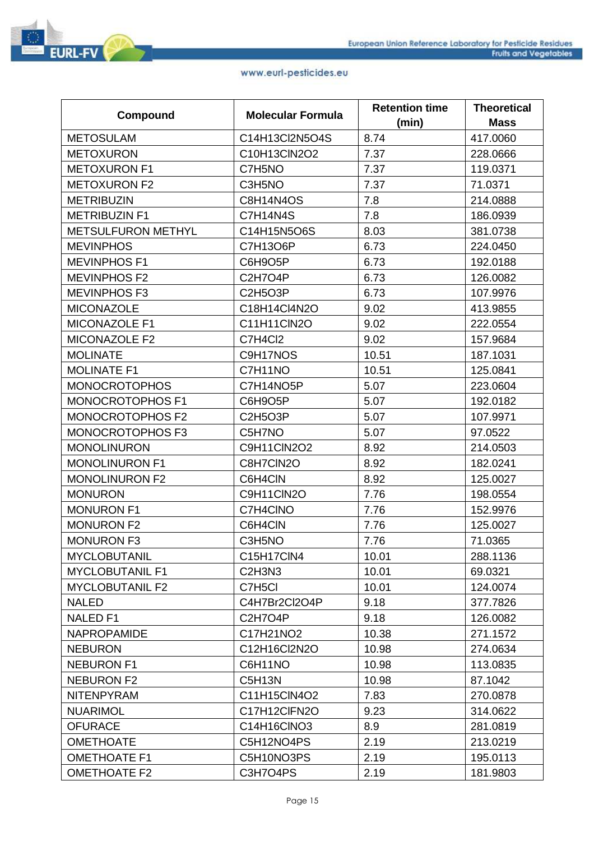| <b>Compound</b>           | <b>Molecular Formula</b>                     | <b>Retention time</b> | <b>Theoretical</b> |
|---------------------------|----------------------------------------------|-----------------------|--------------------|
|                           |                                              | (min)                 | <b>Mass</b>        |
| <b>METOSULAM</b>          | C14H13Cl2N5O4S                               | 8.74                  | 417.0060           |
| <b>METOXURON</b>          | C10H13ClN2O2                                 | 7.37                  | 228.0666           |
| <b>METOXURON F1</b>       | C7H5NO                                       | 7.37                  | 119.0371           |
| <b>METOXURON F2</b>       | C3H5NO                                       | 7.37                  | 71.0371            |
| <b>METRIBUZIN</b>         | C8H14N4OS                                    | 7.8                   | 214.0888           |
| <b>METRIBUZIN F1</b>      | C7H14N4S                                     | 7.8                   | 186.0939           |
| <b>METSULFURON METHYL</b> | C14H15N5O6S                                  | 8.03                  | 381.0738           |
| <b>MEVINPHOS</b>          | C7H13O6P                                     | 6.73                  | 224.0450           |
| <b>MEVINPHOS F1</b>       | C6H9O5P                                      | 6.73                  | 192.0188           |
| <b>MEVINPHOS F2</b>       | C2H7O4P                                      | 6.73                  | 126.0082           |
| <b>MEVINPHOS F3</b>       | <b>C2H5O3P</b>                               | 6.73                  | 107.9976           |
| <b>MICONAZOLE</b>         | C18H14Cl4N2O                                 | 9.02                  | 413.9855           |
| MICONAZOLE F1             | C11H11ClN2O                                  | 9.02                  | 222.0554           |
| MICONAZOLE F2             | C7H4Cl2                                      | 9.02                  | 157.9684           |
| <b>MOLINATE</b>           | C9H17NOS                                     | 10.51                 | 187.1031           |
| <b>MOLINATE F1</b>        | C7H11NO                                      | 10.51                 | 125.0841           |
| <b>MONOCROTOPHOS</b>      | C7H14NO5P                                    | 5.07                  | 223.0604           |
| MONOCROTOPHOS F1          | C6H9O5P                                      | 5.07                  | 192.0182           |
| <b>MONOCROTOPHOS F2</b>   | <b>C2H5O3P</b>                               | 5.07                  | 107.9971           |
| MONOCROTOPHOS F3          | C5H7NO                                       | 5.07                  | 97.0522            |
| <b>MONOLINURON</b>        | C9H11ClN2O2                                  | 8.92                  | 214.0503           |
| <b>MONOLINURON F1</b>     | C8H7CIN2O                                    | 8.92                  | 182.0241           |
| <b>MONOLINURON F2</b>     | C6H4CIN                                      | 8.92                  | 125.0027           |
| <b>MONURON</b>            | C9H11CIN2O                                   | 7.76                  | 198.0554           |
| <b>MONURON F1</b>         | C7H4CINO                                     | 7.76                  | 152.9976           |
| <b>MONURON F2</b>         | C6H4CIN                                      | 7.76                  | 125.0027           |
| <b>MONURON F3</b>         | C3H5NO                                       | 7.76                  | 71.0365            |
| <b>MYCLOBUTANIL</b>       | C15H17CIN4                                   | 10.01                 | 288.1136           |
| <b>MYCLOBUTANIL F1</b>    | C <sub>2</sub> H <sub>3</sub> N <sub>3</sub> | 10.01                 | 69.0321            |
| <b>MYCLOBUTANIL F2</b>    | C7H5CI                                       | 10.01                 | 124.0074           |
| <b>NALED</b>              | C4H7Br2Cl2O4P                                | 9.18                  | 377.7826           |
| <b>NALED F1</b>           | C2H7O4P                                      | 9.18                  | 126.0082           |
| <b>NAPROPAMIDE</b>        | C17H21NO2                                    | 10.38                 | 271.1572           |
| <b>NEBURON</b>            | C12H16Cl2N2O                                 | 10.98                 | 274.0634           |
| <b>NEBURON F1</b>         | C6H11NO                                      | 10.98                 | 113.0835           |
| <b>NEBURON F2</b>         | C5H13N                                       | 10.98                 | 87.1042            |
| <b>NITENPYRAM</b>         | C11H15ClN4O2                                 | 7.83                  | 270.0878           |
| <b>NUARIMOL</b>           | C17H12CIFN2O                                 | 9.23                  | 314.0622           |
| <b>OFURACE</b>            | C14H16CINO3                                  | 8.9                   | 281.0819           |
| <b>OMETHOATE</b>          | C5H12NO4PS                                   | 2.19                  | 213.0219           |
| <b>OMETHOATE F1</b>       | C5H10NO3PS                                   | 2.19                  | 195.0113           |
| <b>OMETHOATE F2</b>       | C3H7O4PS                                     | 2.19                  | 181.9803           |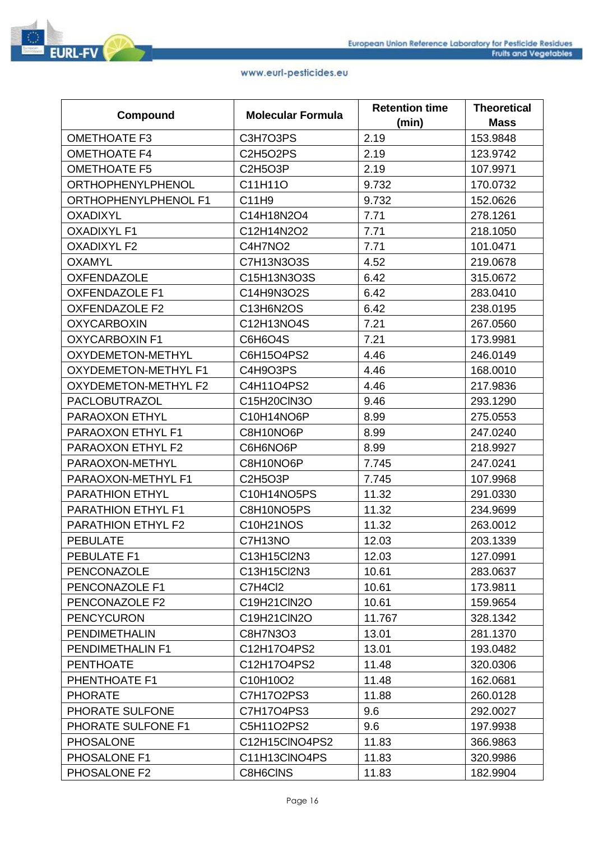

| <b>Compound</b>             | <b>Molecular Formula</b> | <b>Retention time</b> | <b>Theoretical</b> |
|-----------------------------|--------------------------|-----------------------|--------------------|
|                             |                          | (min)                 | <b>Mass</b>        |
| <b>OMETHOATE F3</b>         | C3H7O3PS                 | 2.19                  | 153.9848           |
| <b>OMETHOATE F4</b>         | <b>C2H5O2PS</b>          | 2.19                  | 123.9742           |
| <b>OMETHOATE F5</b>         | <b>C2H5O3P</b>           | 2.19                  | 107.9971           |
| <b>ORTHOPHENYLPHENOL</b>    | C11H11O                  | 9.732                 | 170.0732           |
| ORTHOPHENYLPHENOL F1        | C11H9                    | 9.732                 | 152.0626           |
| <b>OXADIXYL</b>             | C14H18N2O4               | 7.71                  | 278.1261           |
| <b>OXADIXYL F1</b>          | C12H14N2O2               | 7.71                  | 218.1050           |
| <b>OXADIXYL F2</b>          | C4H7NO2                  | 7.71                  | 101.0471           |
| <b>OXAMYL</b>               | C7H13N3O3S               | 4.52                  | 219.0678           |
| <b>OXFENDAZOLE</b>          | C15H13N3O3S              | 6.42                  | 315.0672           |
| <b>OXFENDAZOLE F1</b>       | C14H9N3O2S               | 6.42                  | 283.0410           |
| <b>OXFENDAZOLE F2</b>       | C13H6N2OS                | 6.42                  | 238.0195           |
| <b>OXYCARBOXIN</b>          | C12H13NO4S               | 7.21                  | 267.0560           |
| <b>OXYCARBOXIN F1</b>       | C6H6O4S                  | 7.21                  | 173.9981           |
| <b>OXYDEMETON-METHYL</b>    | C6H15O4PS2               | 4.46                  | 246.0149           |
| <b>OXYDEMETON-METHYL F1</b> | C4H9O3PS                 | 4.46                  | 168.0010           |
| <b>OXYDEMETON-METHYL F2</b> | C4H11O4PS2               | 4.46                  | 217.9836           |
| PACLOBUTRAZOL               | C15H20ClN3O              | 9.46                  | 293.1290           |
| PARAOXON ETHYL              | C10H14NO6P               | 8.99                  | 275.0553           |
| PARAOXON ETHYL F1           | C8H10NO6P                | 8.99                  | 247.0240           |
| PARAOXON ETHYL F2           | C6H6NO6P                 | 8.99                  | 218.9927           |
| PARAOXON-METHYL             | C8H10NO6P                | 7.745                 | 247.0241           |
| PARAOXON-METHYL F1          | <b>C2H5O3P</b>           | 7.745                 | 107.9968           |
| <b>PARATHION ETHYL</b>      | C10H14NO5PS              | 11.32                 | 291.0330           |
| PARATHION ETHYL F1          | C8H10NO5PS               | 11.32                 | 234.9699           |
| PARATHION ETHYL F2          | C10H21NOS                | 11.32                 | 263.0012           |
| <b>PEBULATE</b>             | C7H13NO                  | 12.03                 | 203.1339           |
| PEBULATE F1                 | C13H15Cl2N3              | 12.03                 | 127.0991           |
| PENCONAZOLE                 | C13H15Cl2N3              | 10.61                 | 283.0637           |
| PENCONAZOLE F1              | C7H4Cl2                  | 10.61                 | 173.9811           |
| PENCONAZOLE F2              | C19H21ClN2O              | 10.61                 | 159.9654           |
| <b>PENCYCURON</b>           | C19H21ClN2O              | 11.767                | 328.1342           |
| <b>PENDIMETHALIN</b>        | C8H7N3O3                 | 13.01                 | 281.1370           |
| PENDIMETHALIN F1            | C12H17O4PS2              | 13.01                 | 193.0482           |
| <b>PENTHOATE</b>            | C12H17O4PS2              | 11.48                 | 320.0306           |
| PHENTHOATE F1               | C10H10O2                 | 11.48                 | 162.0681           |
| <b>PHORATE</b>              | C7H17O2PS3               | 11.88                 | 260.0128           |
| PHORATE SULFONE             | C7H17O4PS3               | 9.6                   | 292.0027           |
| PHORATE SULFONE F1          | C5H11O2PS2               | 9.6                   | 197.9938           |
| <b>PHOSALONE</b>            | C12H15CINO4PS2           | 11.83                 | 366.9863           |
| PHOSALONE F1                | C11H13CINO4PS            | 11.83                 | 320.9986           |
| PHOSALONE F2                | C8H6CINS                 | 11.83                 | 182.9904           |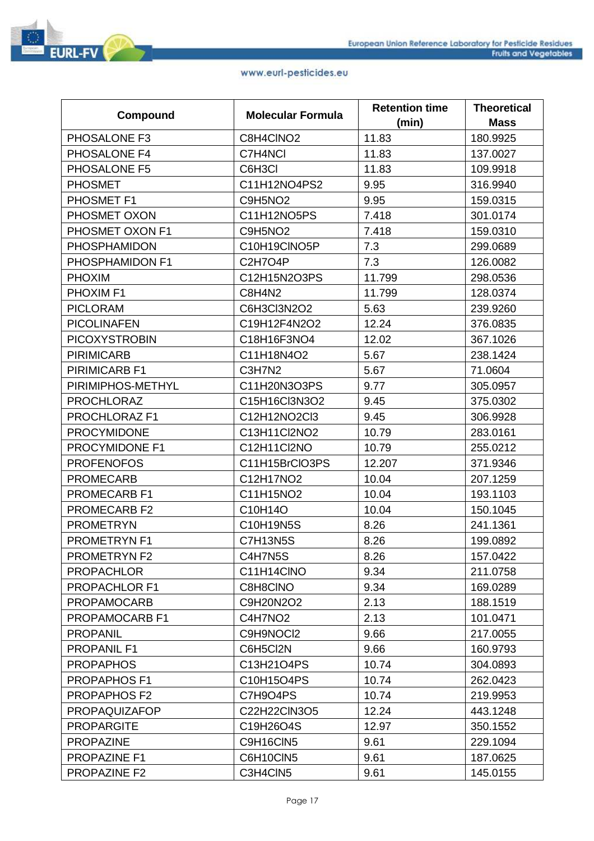|                      | <b>Molecular Formula</b> | <b>Retention time</b> | <b>Theoretical</b> |
|----------------------|--------------------------|-----------------------|--------------------|
| Compound             |                          | (min)                 | <b>Mass</b>        |
| PHOSALONE F3         | C8H4CINO2                | 11.83                 | 180.9925           |
| PHOSALONE F4         | C7H4NCI                  | 11.83                 | 137.0027           |
| PHOSALONE F5         | C6H3Cl                   | 11.83                 | 109.9918           |
| <b>PHOSMET</b>       | C11H12NO4PS2             | 9.95                  | 316.9940           |
| PHOSMET F1           | C9H5NO <sub>2</sub>      | 9.95                  | 159.0315           |
| PHOSMET OXON         | C11H12NO5PS              | 7.418                 | 301.0174           |
| PHOSMET OXON F1      | C9H5NO <sub>2</sub>      | 7.418                 | 159.0310           |
| <b>PHOSPHAMIDON</b>  | C10H19CINO5P             | 7.3                   | 299.0689           |
| PHOSPHAMIDON F1      | C2H7O4P                  | 7.3                   | 126.0082           |
| <b>PHOXIM</b>        | C12H15N2O3PS             | 11.799                | 298.0536           |
| PHOXIM <sub>F1</sub> | C8H4N2                   | 11.799                | 128.0374           |
| <b>PICLORAM</b>      | C6H3Cl3N2O2              | 5.63                  | 239.9260           |
| <b>PICOLINAFEN</b>   | C19H12F4N2O2             | 12.24                 | 376.0835           |
| <b>PICOXYSTROBIN</b> | C18H16F3NO4              | 12.02                 | 367.1026           |
| <b>PIRIMICARB</b>    | C11H18N4O2               | 5.67                  | 238.1424           |
| PIRIMICARB F1        | C3H7N2                   | 5.67                  | 71.0604            |
| PIRIMIPHOS-METHYL    | C11H20N3O3PS             | 9.77                  | 305.0957           |
| <b>PROCHLORAZ</b>    | C15H16Cl3N3O2            | 9.45                  | 375.0302           |
| PROCHLORAZ F1        | C12H12NO2Cl3             | 9.45                  | 306.9928           |
| <b>PROCYMIDONE</b>   | C13H11Cl2NO2             | 10.79                 | 283.0161           |
| PROCYMIDONE F1       | C12H11Cl2NO              | 10.79                 | 255.0212           |
| <b>PROFENOFOS</b>    | C11H15BrCIO3PS           | 12.207                | 371.9346           |
| <b>PROMECARB</b>     | C12H17NO2                | 10.04                 | 207.1259           |
| <b>PROMECARB F1</b>  | C11H15NO2                | 10.04                 | 193.1103           |
| PROMECARB F2         | C10H14O                  | 10.04                 | 150.1045           |
| <b>PROMETRYN</b>     | C10H19N5S                | 8.26                  | 241.1361           |
| <b>PROMETRYN F1</b>  | <b>C7H13N5S</b>          | 8.26                  | 199.0892           |
| PROMETRYN F2         | C4H7N5S                  | 8.26                  | 157.0422           |
| <b>PROPACHLOR</b>    | C11H14CINO               | 9.34                  | 211.0758           |
| <b>PROPACHLOR F1</b> | C8H8CINO                 | 9.34                  | 169.0289           |
| <b>PROPAMOCARB</b>   | C9H20N2O2                | 2.13                  | 188.1519           |
| PROPAMOCARB F1       | C4H7NO <sub>2</sub>      | 2.13                  | 101.0471           |
| <b>PROPANIL</b>      | C9H9NOCI2                | 9.66                  | 217.0055           |
| <b>PROPANIL F1</b>   | C6H5Cl2N                 | 9.66                  | 160.9793           |
| <b>PROPAPHOS</b>     | C13H21O4PS               | 10.74                 | 304.0893           |
| <b>PROPAPHOS F1</b>  | C10H15O4PS               | 10.74                 | 262.0423           |
| <b>PROPAPHOS F2</b>  | C7H9O4PS                 | 10.74                 | 219.9953           |
| <b>PROPAQUIZAFOP</b> | C22H22CIN3O5             | 12.24                 | 443.1248           |
| <b>PROPARGITE</b>    | C19H26O4S                | 12.97                 | 350.1552           |
| <b>PROPAZINE</b>     | C9H16CIN5                | 9.61                  | 229.1094           |
| PROPAZINE F1         | C6H10CIN5                | 9.61                  | 187.0625           |
| <b>PROPAZINE F2</b>  | C3H4CIN5                 | 9.61                  | 145.0155           |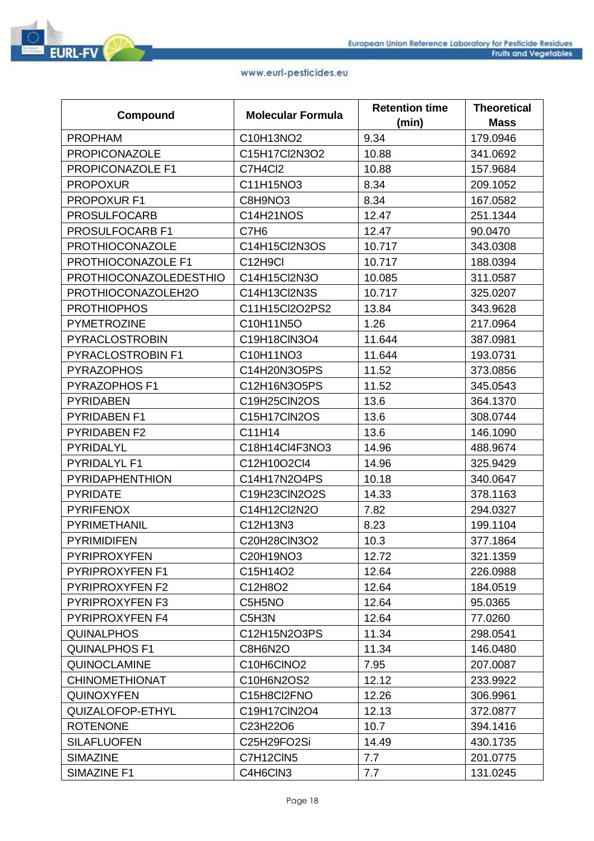|                               |                                   | <b>Retention time</b> | <b>Theoretical</b> |
|-------------------------------|-----------------------------------|-----------------------|--------------------|
| Compound                      | <b>Molecular Formula</b>          | (min)                 | <b>Mass</b>        |
| <b>PROPHAM</b>                | C10H13NO2                         | 9.34                  | 179.0946           |
| <b>PROPICONAZOLE</b>          | C15H17Cl2N3O2                     | 10.88                 | 341.0692           |
| PROPICONAZOLE F1              | C7H4Cl2                           | 10.88                 | 157.9684           |
| <b>PROPOXUR</b>               | C11H15NO3                         | 8.34                  | 209.1052           |
| PROPOXUR F1                   | C8H9NO3                           | 8.34                  | 167.0582           |
| <b>PROSULFOCARB</b>           | C14H21NOS                         | 12.47                 | 251.1344           |
| PROSULFOCARB F1               | C7H <sub>6</sub>                  | 12.47                 | 90.0470            |
| <b>PROTHIOCONAZOLE</b>        | C14H15Cl2N3OS                     | 10.717                | 343.0308           |
| PROTHIOCONAZOLE F1            | C <sub>12</sub> H <sub>9</sub> Cl | 10.717                | 188.0394           |
| <b>PROTHIOCONAZOLEDESTHIO</b> | C14H15Cl2N3O                      | 10.085                | 311.0587           |
| PROTHIOCONAZOLEH2O            | C14H13Cl2N3S                      | 10.717                | 325.0207           |
| <b>PROTHIOPHOS</b>            | C11H15Cl2O2PS2                    | 13.84                 | 343.9628           |
| <b>PYMETROZINE</b>            | C10H11N5O                         | 1.26                  | 217.0964           |
| <b>PYRACLOSTROBIN</b>         | C19H18ClN3O4                      | 11.644                | 387.0981           |
| PYRACLOSTROBIN F1             | C10H11NO3                         | 11.644                | 193.0731           |
| <b>PYRAZOPHOS</b>             | C14H20N3O5PS                      | 11.52                 | 373.0856           |
| PYRAZOPHOS F1                 | C12H16N3O5PS                      | 11.52                 | 345.0543           |
| <b>PYRIDABEN</b>              | C19H25ClN2OS                      | 13.6                  | 364.1370           |
| <b>PYRIDABEN F1</b>           | C15H17CIN2OS                      | 13.6                  | 308.0744           |
| <b>PYRIDABEN F2</b>           | C11H14                            | 13.6                  | 146.1090           |
| PYRIDALYL                     | C18H14Cl4F3NO3                    | 14.96                 | 488.9674           |
| PYRIDALYL F1                  | C12H10O2Cl4                       | 14.96                 | 325.9429           |
| <b>PYRIDAPHENTHION</b>        | C14H17N2O4PS                      | 10.18                 | 340.0647           |
| <b>PYRIDATE</b>               | C19H23ClN2O2S                     | 14.33                 | 378.1163           |
| <b>PYRIFENOX</b>              | C14H12Cl2N2O                      | 7.82                  | 294.0327           |
| <b>PYRIMETHANIL</b>           | C12H13N3                          | 8.23                  | 199.1104           |
| <b>PYRIMIDIFEN</b>            | C20H28ClN3O2                      | 10.3                  | 377.1864           |
| <b>PYRIPROXYFEN</b>           | C20H19NO3                         | 12.72                 | 321.1359           |
| <b>PYRIPROXYFEN F1</b>        | C15H14O2                          | 12.64                 | 226.0988           |
| <b>PYRIPROXYFEN F2</b>        | C12H8O2                           | 12.64                 | 184.0519           |
| <b>PYRIPROXYFEN F3</b>        | C5H5NO                            | 12.64                 | 95.0365            |
| <b>PYRIPROXYFEN F4</b>        | C5H3N                             | 12.64                 | 77.0260            |
| <b>QUINALPHOS</b>             | C12H15N2O3PS                      | 11.34                 | 298.0541           |
| <b>QUINALPHOS F1</b>          | C8H6N2O                           | 11.34                 | 146.0480           |
| <b>QUINOCLAMINE</b>           | C10H6CINO2                        | 7.95                  | 207.0087           |
| <b>CHINOMETHIONAT</b>         | C10H6N2OS2                        | 12.12                 | 233.9922           |
| <b>QUINOXYFEN</b>             | C15H8Cl2FNO                       | 12.26                 | 306.9961           |
| QUIZALOFOP-ETHYL              | C19H17ClN2O4                      | 12.13                 | 372.0877           |
| <b>ROTENONE</b>               | C23H22O6                          | 10.7                  | 394.1416           |
| <b>SILAFLUOFEN</b>            | C25H29FO2Si                       | 14.49                 | 430.1735           |
| <b>SIMAZINE</b>               | C7H12CIN5                         | 7.7                   | 201.0775           |
| SIMAZINE F1                   | C4H6CIN3                          | 7.7                   | 131.0245           |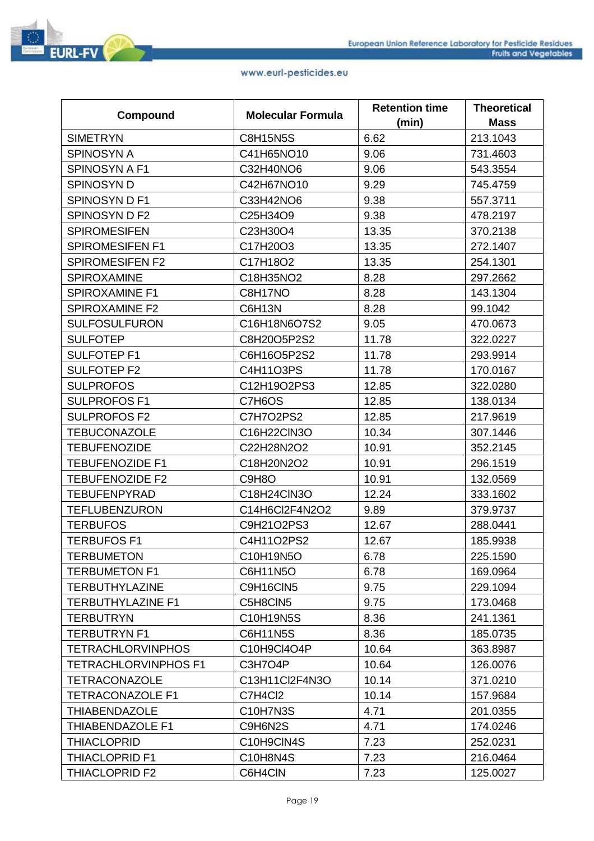|                             | <b>Molecular Formula</b> | <b>Retention time</b> | <b>Theoretical</b> |
|-----------------------------|--------------------------|-----------------------|--------------------|
| Compound                    |                          | (min)                 | <b>Mass</b>        |
| <b>SIMETRYN</b>             | <b>C8H15N5S</b>          | 6.62                  | 213.1043           |
| <b>SPINOSYN A</b>           | C41H65NO10               | 9.06                  | 731.4603           |
| SPINOSYN A F1               | C32H40NO6                | 9.06                  | 543.3554           |
| <b>SPINOSYN D</b>           | C42H67NO10               | 9.29                  | 745.4759           |
| SPINOSYN D F1               | C33H42NO6                | 9.38                  | 557.3711           |
| SPINOSYN D F2               | C25H34O9                 | 9.38                  | 478.2197           |
| <b>SPIROMESIFEN</b>         | C23H30O4                 | 13.35                 | 370.2138           |
| <b>SPIROMESIFEN F1</b>      | C17H20O3                 | 13.35                 | 272.1407           |
| <b>SPIROMESIFEN F2</b>      | C17H18O2                 | 13.35                 | 254.1301           |
| <b>SPIROXAMINE</b>          | C18H35NO2                | 8.28                  | 297.2662           |
| <b>SPIROXAMINE F1</b>       | C8H17NO                  | 8.28                  | 143.1304           |
| <b>SPIROXAMINE F2</b>       | C6H13N                   | 8.28                  | 99.1042            |
| <b>SULFOSULFURON</b>        | C16H18N6O7S2             | 9.05                  | 470.0673           |
| <b>SULFOTEP</b>             | C8H20O5P2S2              | 11.78                 | 322.0227           |
| <b>SULFOTEP F1</b>          | C6H16O5P2S2              | 11.78                 | 293.9914           |
| <b>SULFOTEP F2</b>          | C4H11O3PS                | 11.78                 | 170.0167           |
| <b>SULPROFOS</b>            | C12H19O2PS3              | 12.85                 | 322.0280           |
| <b>SULPROFOS F1</b>         | C7H6OS                   | 12.85                 | 138.0134           |
| <b>SULPROFOS F2</b>         | C7H7O2PS2                | 12.85                 | 217.9619           |
| <b>TEBUCONAZOLE</b>         | C16H22ClN3O              | 10.34                 | 307.1446           |
| <b>TEBUFENOZIDE</b>         | C22H28N2O2               | 10.91                 | 352.2145           |
| <b>TEBUFENOZIDE F1</b>      | C18H20N2O2               | 10.91                 | 296.1519           |
| <b>TEBUFENOZIDE F2</b>      | C9H8O                    | 10.91                 | 132.0569           |
| <b>TEBUFENPYRAD</b>         | C18H24ClN3O              | 12.24                 | 333.1602           |
| <b>TEFLUBENZURON</b>        | C14H6Cl2F4N2O2           | 9.89                  | 379.9737           |
| <b>TERBUFOS</b>             | C9H21O2PS3               | 12.67                 | 288.0441           |
| <b>TERBUFOS F1</b>          | C4H11O2PS2               | 12.67                 | 185.9938           |
| <b>TERBUMETON</b>           | C10H19N5O                | 6.78                  | 225.1590           |
| <b>TERBUMETON F1</b>        | C6H11N5O                 | 6.78                  | 169.0964           |
| <b>TERBUTHYLAZINE</b>       | C9H16CIN5                | 9.75                  | 229.1094           |
| <b>TERBUTHYLAZINE F1</b>    | C5H8CIN5                 | 9.75                  | 173.0468           |
| <b>TERBUTRYN</b>            | C10H19N5S                | 8.36                  | 241.1361           |
| <b>TERBUTRYN F1</b>         | C6H11N5S                 | 8.36                  | 185.0735           |
| <b>TETRACHLORVINPHOS</b>    | C10H9Cl4O4P              | 10.64                 | 363.8987           |
| <b>TETRACHLORVINPHOS F1</b> | C3H7O4P                  | 10.64                 | 126.0076           |
| <b>TETRACONAZOLE</b>        | C13H11Cl2F4N3O           | 10.14                 | 371.0210           |
| <b>TETRACONAZOLE F1</b>     | C7H4Cl2                  | 10.14                 | 157.9684           |
| <b>THIABENDAZOLE</b>        | C10H7N3S                 | 4.71                  | 201.0355           |
| THIABENDAZOLE F1            | C9H6N2S                  | 4.71                  | 174.0246           |
| THIACLOPRID                 | C10H9CIN4S               | 7.23                  | 252.0231           |
| <b>THIACLOPRID F1</b>       | C10H8N4S                 | 7.23                  | 216.0464           |
| THIACLOPRID F2              | C6H4CIN                  | 7.23                  | 125.0027           |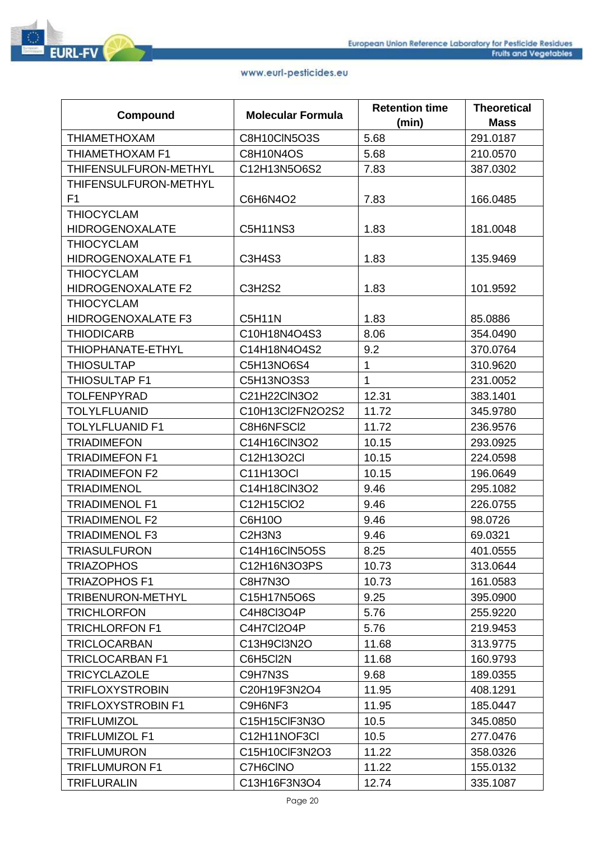

| Compound                  | <b>Molecular Formula</b>        | <b>Retention time</b> | <b>Theoretical</b> |
|---------------------------|---------------------------------|-----------------------|--------------------|
|                           |                                 | (min)                 | <b>Mass</b>        |
| <b>THIAMETHOXAM</b>       | C8H10CIN5O3S                    | 5.68                  | 291.0187           |
| THIAMETHOXAM F1           | C8H10N4OS                       | 5.68                  | 210.0570           |
| THIFENSULFURON-METHYL     | C12H13N5O6S2                    | 7.83                  | 387.0302           |
| THIFENSULFURON-METHYL     |                                 |                       |                    |
| F1                        | C6H6N4O2                        | 7.83                  | 166.0485           |
| <b>THIOCYCLAM</b>         |                                 |                       |                    |
| <b>HIDROGENOXALATE</b>    | C5H11NS3                        | 1.83                  | 181.0048           |
| <b>THIOCYCLAM</b>         |                                 |                       |                    |
| <b>HIDROGENOXALATE F1</b> | C3H4S3                          | 1.83                  | 135.9469           |
| <b>THIOCYCLAM</b>         |                                 |                       |                    |
| <b>HIDROGENOXALATE F2</b> | <b>C3H2S2</b>                   | 1.83                  | 101.9592           |
| <b>THIOCYCLAM</b>         |                                 |                       |                    |
| <b>HIDROGENOXALATE F3</b> | <b>C5H11N</b>                   | 1.83                  | 85.0886            |
| <b>THIODICARB</b>         | C10H18N4O4S3                    | 8.06                  | 354.0490           |
| THIOPHANATE-ETHYL         | C14H18N4O4S2                    | 9.2                   | 370.0764           |
| <b>THIOSULTAP</b>         | C5H13NO6S4                      | $\mathbf 1$           | 310.9620           |
| <b>THIOSULTAP F1</b>      | C5H13NO3S3                      | $\mathbf{1}$          | 231.0052           |
| <b>TOLFENPYRAD</b>        | C21H22ClN3O2                    | 12.31                 | 383.1401           |
| <b>TOLYLFLUANID</b>       | C10H13Cl2FN2O2S2                | 11.72                 | 345.9780           |
| <b>TOLYLFLUANID F1</b>    | C8H6NFSCI2                      | 11.72                 | 236.9576           |
| <b>TRIADIMEFON</b>        | C14H16ClN3O2                    | 10.15                 | 293.0925           |
| <b>TRIADIMEFON F1</b>     | C12H13O2Cl                      | 10.15                 | 224.0598           |
| <b>TRIADIMEFON F2</b>     | C11H13OCI                       | 10.15                 | 196.0649           |
| <b>TRIADIMENOL</b>        | C14H18ClN3O2                    | 9.46                  | 295.1082           |
| <b>TRIADIMENOL F1</b>     | C12H15ClO2                      | 9.46                  | 226.0755           |
| <b>TRIADIMENOL F2</b>     | C6H10O                          | 9.46                  | 98.0726            |
| <b>TRIADIMENOL F3</b>     | C <sub>2</sub> H <sub>3N3</sub> | 9.46                  | 69.0321            |
| TRIASULFURON              | C14H16CIN5O5S                   | 8.25                  | 401.0555           |
| <b>TRIAZOPHOS</b>         | C12H16N3O3PS                    | 10.73                 | 313.0644           |
| TRIAZOPHOS F1             | C8H7N3O                         | 10.73                 | 161.0583           |
| TRIBENURON-METHYL         | C15H17N5O6S                     | 9.25                  | 395.0900           |
| <b>TRICHLORFON</b>        | C4H8Cl3O4P                      | 5.76                  | 255.9220           |
| <b>TRICHLORFON F1</b>     | C4H7Cl2O4P                      | 5.76                  | 219.9453           |
| <b>TRICLOCARBAN</b>       | C13H9Cl3N2O                     | 11.68                 | 313.9775           |
| <b>TRICLOCARBAN F1</b>    | C6H5Cl2N                        | 11.68                 | 160.9793           |
| <b>TRICYCLAZOLE</b>       | C9H7N3S                         | 9.68                  | 189.0355           |
| <b>TRIFLOXYSTROBIN</b>    | C20H19F3N2O4                    | 11.95                 | 408.1291           |
| <b>TRIFLOXYSTROBIN F1</b> | C9H6NF3                         | 11.95                 | 185.0447           |
| <b>TRIFLUMIZOL</b>        | C15H15CIF3N3O                   | 10.5                  | 345.0850           |
| <b>TRIFLUMIZOL F1</b>     | C12H11NOF3CI                    | 10.5                  | 277.0476           |
| <b>TRIFLUMURON</b>        | C15H10ClF3N2O3                  | 11.22                 | 358.0326           |
| <b>TRIFLUMURON F1</b>     | C7H6CINO                        | 11.22                 | 155.0132           |
| <b>TRIFLURALIN</b>        | C13H16F3N3O4                    | 12.74                 | 335.1087           |